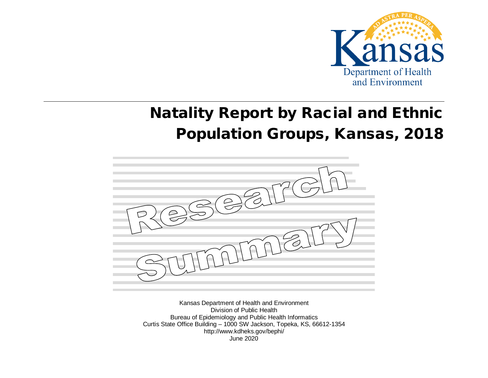

# Natality Report by Racial and Ethnic Population Groups, Kansas, 2018



Kansas Department of Health and Environment Division of Public Health Bureau of Epidemiology and Public Health Informatics Curtis State Office Building – 1000 SW Jackson, Topeka, KS, 66612-1354 http://www.kdheks.gov/bephi/ June 2020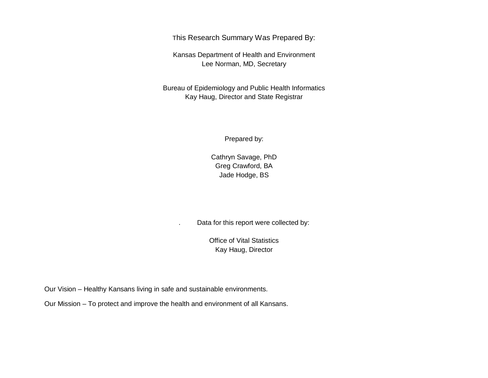This Research Summary Was Prepared By:

Kansas Department of Health and Environment Lee Norman, MD, Secretary

Bureau of Epidemiology and Public Health Informatics Kay Haug, Director and State Registrar

Prepared by:

Cathryn Savage, PhD Greg Crawford, BA Jade Hodge, BS

. Data for this report were collected by:

Office of Vital Statistics Kay Haug, Director

Our Vision – Healthy Kansans living in safe and sustainable environments.

Our Mission – To protect and improve the health and environment of all Kansans.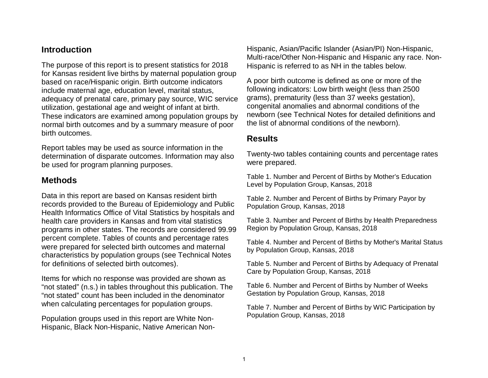# **Introduction**

The purpose of this report is to present statistics for 2018 for Kansas resident live births by maternal population group based on race/Hispanic origin. Birth outcome indicators include maternal age, education level, marital status, adequacy of prenatal care, primary pay source, WIC service utilization, gestational age and weight of infant at birth. These indicators are examined among population groups by normal birth outcomes and by a summary measure of poor birth outcomes.

Report tables may be used as source information in the determination of disparate outcomes. Information may also be used for program planning purposes.

# **Methods**

Data in this report are based on Kansas resident birth records provided to the Bureau of Epidemiology and Public Health Informatics Office of Vital Statistics by hospitals and health care providers in Kansas and from vital statistics programs in other states. The records are considered 99.99 percent complete. Tables of counts and percentage rates were prepared for selected birth outcomes and maternal characteristics by population groups (see Technical Notes for definitions of selected birth outcomes).

Items for which no response was provided are shown as "not stated" (n.s.) in tables throughout this publication. The "not stated" count has been included in the denominator when calculating percentages for population groups.

Population groups used in this report are White Non-Hispanic, Black Non-Hispanic, Native American NonHispanic, Asian/Pacific Islander (Asian/PI) Non-Hispanic, Multi-race/Other Non-Hispanic and Hispanic any race. Non-Hispanic is referred to as NH in the tables below.

A poor birth outcome is defined as one or more of the following indicators: Low birth weight (less than 2500 grams), prematurity (less than 37 weeks gestation), congenital anomalies and abnormal conditions of the newborn (see Technical Notes for detailed definitions and the list of abnormal conditions of the newborn).

# **Results**

Twenty-two tables containing counts and percentage rates were prepared.

Table 1. Number and Percent of Births by Mother's Education Level by Population Group, Kansas, 2018

Table 2. Number and Percent of Births by Primary Payor by Population Group, Kansas, 2018

Table 3. Number and Percent of Births by Health Preparedness Region by Population Group, Kansas, 2018

Table 4. Number and Percent of Births by Mother's Marital Status by Population Group, Kansas, 2018

Table 5. Number and Percent of Births by Adequacy of Prenatal Care by Population Group, Kansas, 2018

Table 6. Number and Percent of Births by Number of Weeks Gestation by Population Group, Kansas, 2018

Table 7. Number and Percent of Births by WIC Participation by Population Group, Kansas, 2018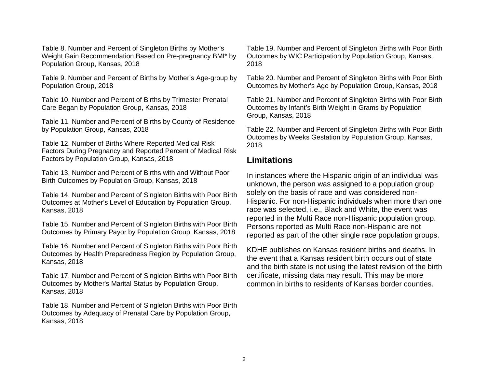Table 8. Number and Percent of Singleton Births by Mother's Weight Gain Recommendation Based on Pre-pregnancy BMI\* by Population Group, Kansas, 2018

Table 9. Number and Percent of Births by Mother's Age-group by Population Group, 2018

Table 10. Number and Percent of Births by Trimester Prenatal Care Began by Population Group, Kansas, 2018

Table 11. Number and Percent of Births by County of Residence by Population Group, Kansas, 2018

Table 12. Number of Births Where Reported Medical Risk Factors During Pregnancy and Reported Percent of Medical Risk Factors by Population Group, Kansas, 2018

Table 13. Number and Percent of Births with and Without Poor Birth Outcomes by Population Group, Kansas, 2018

Table 14. Number and Percent of Singleton Births with Poor Birth Outcomes at Mother's Level of Education by Population Group, Kansas, 2018

Table 15. Number and Percent of Singleton Births with Poor Birth Outcomes by Primary Payor by Population Group, Kansas, 2018

Table 16. Number and Percent of Singleton Births with Poor Birth Outcomes by Health Preparedness Region by Population Group, Kansas, 2018

Table 17. Number and Percent of Singleton Births with Poor Birth Outcomes by Mother's Marital Status by Population Group, Kansas, 2018

Table 18. Number and Percent of Singleton Births with Poor Birth Outcomes by Adequacy of Prenatal Care by Population Group, Kansas, 2018

Table 19. Number and Percent of Singleton Births with Poor Birth Outcomes by WIC Participation by Population Group, Kansas, 2018

Table 20. Number and Percent of Singleton Births with Poor Birth Outcomes by Mother's Age by Population Group, Kansas, 2018

Table 21. Number and Percent of Singleton Births with Poor Birth Outcomes by Infant's Birth Weight in Grams by Population Group, Kansas, 2018

Table 22. Number and Percent of Singleton Births with Poor Birth Outcomes by Weeks Gestation by Population Group, Kansas, 2018

# **Limitations**

In instances where the Hispanic origin of an individual was unknown, the person was assigned to a population group solely on the basis of race and was considered non-Hispanic. For non-Hispanic individuals when more than one race was selected, i.e., Black and White, the event was reported in the Multi Race non-Hispanic population group. Persons reported as Multi Race non-Hispanic are not reported as part of the other single race population groups.

KDHE publishes on Kansas resident births and deaths. In the event that a Kansas resident birth occurs out of state and the birth state is not using the latest revision of the birth certificate, missing data may result. This may be more common in births to residents of Kansas border counties.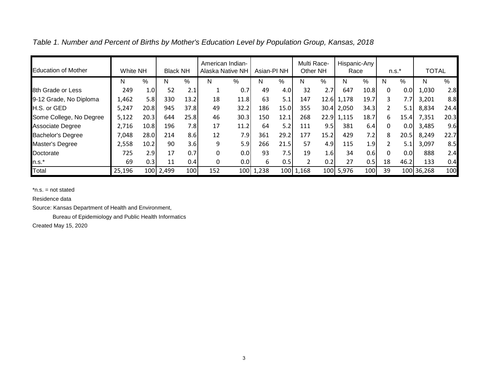| <b>Education of Mother</b> | White NH |                  | <b>Black NH</b> |      | American Indian-<br>Alaska Native NH |                  | Asian-PI <sub>NH</sub> |      | Multi Race-<br>Other NH |                  | Hispanic-Any<br>Race |      |                | $n.s.*$ | <b>TOTAL</b> |      |
|----------------------------|----------|------------------|-----------------|------|--------------------------------------|------------------|------------------------|------|-------------------------|------------------|----------------------|------|----------------|---------|--------------|------|
|                            | N        | %                | N               | %    | N                                    | %                | N                      | %    | N                       | %                | N                    | %    | N              | %       | N            | %    |
| 8th Grade or Less          | 249      | 1.0              | 52              | 2.1  |                                      | 0.7              | 49                     | 4.0  | 32                      | 2.7              | 647                  | 10.8 | $\mathbf{0}$   | 0.0     | 1,030        | 2.8  |
| 9-12 Grade, No Diploma     | 1,462    | 5.8              | 330             | 13.2 | 18                                   | 11.8             | 63                     | 5.1  | 147                     |                  | $12.6$ 1,178         | 19.7 | 3              | 7.7     | 3,201        | 8.8  |
| H.S. or GED                | 5,247    | 20.8             | 945             | 37.8 | 49                                   | 32.2             | 186                    | 15.0 | 355                     |                  | $30.4$ 2,050         | 34.3 | 2              | 5.1     | 8,834        | 24.4 |
| Some College, No Degree    | 5,122    | 20.3             | 644             | 25.8 | 46                                   | 30.3             | 150                    | 12.1 | 268                     |                  | 22.9 1,115           | 18.7 | 6              | 15.4    | 7,351        | 20.3 |
| <b>Associate Degree</b>    | 2,716    | 10.8             | 196             | 7.8  | 17                                   | 11.2             | 64                     | 5.2  | 111                     | 9.5              | 381                  | 6.4  | $\Omega$       | 0.0     | 3,485        | 9.6  |
| <b>Bachelor's Degree</b>   | 7,048    | 28.0             | 214             | 8.6  | 12                                   | 7.9              | 361                    | 29.2 | 177                     | 15.2             | 429                  | 7.2  | 8              | 20.5    | 8,249        | 22.7 |
| Master's Degree            | 2,558    | 10.2             | 90              | 3.6  | 9                                    | 5.9              | 266                    | 21.5 | 57                      | 4.9              | 115                  | 1.9  | $\mathfrak{p}$ | 5.1     | 3,097        | 8.5  |
| Doctorate                  | 725      | 2.9              | 17              | 0.7  | 0                                    | 0.0              | 93                     | 7.5  | 19                      | 1.6              | 34                   | 0.6  | 0              | 0.0     | 888          | 2.4  |
| $n.s.*$                    | 69       | 0.3 <sub>l</sub> | 11              | 0.4  | 0                                    | 0.0 <sub>l</sub> | 6                      | 0.5  | $\mathfrak{p}$          | 0.2              | 27                   | 0.5  | 18             | 46.2    | 133          | 0.4  |
| Total                      | 25,196   |                  | 100 2,499       | 100  | 152                                  | 100              | 1,238                  |      | 100 1,168               | 100 <sup> </sup> | 5,976                | 100  | 39             |         | 100 36,268   | 100  |

*Table 1. Number and Percent of Births by Mother's Education Level by Population Group, Kansas, 2018*

Residence data

Source: Kansas Department of Health and Environment,

Bureau of Epidemiology and Public Health Informatics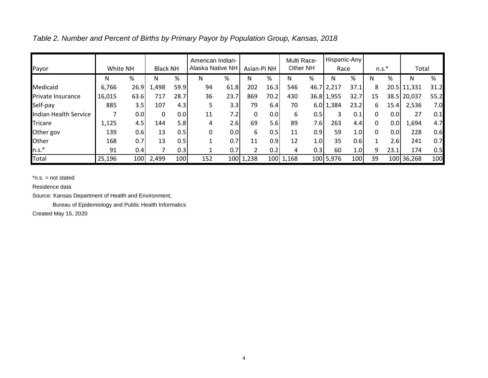*Table 2. Number and Percent of Births by Primary Payor by Population Group, Kansas, 2018*

|                          |          |      |                 |                  | American Indian- |      |                        |      |       | Multi Race- | Hispanic-Any |      |    |                  |             |      |
|--------------------------|----------|------|-----------------|------------------|------------------|------|------------------------|------|-------|-------------|--------------|------|----|------------------|-------------|------|
| Payor                    | White NH |      | <b>Black NH</b> |                  | Alaska Native NH |      | Asian-PI <sub>NH</sub> |      |       | Other NH    | Race         |      |    | $n.s.*$          | Total       |      |
|                          | N        | %    | N               | %                | N                | %    | N                      | %    | N     | %           | N            | %    | N  | %                | Ν           | %    |
| Medicaid                 | 6,766    | 26.9 | 1,498           | 59.9             | 94               | 61.8 | 202                    | 16.3 | 546   |             | 46.7 2,217   | 37.1 | 8  |                  | 20.5 11,331 | 31.2 |
| <b>Private Insurance</b> | 16,015   | 63.6 | 717             | 28.7             | 36               | 23.7 | 869                    | 70.2 | 430   |             | $36.8$ 1,955 | 32.7 | 15 |                  | 38.5 20,037 | 55.2 |
| Self-pay                 | 885      | 3.5  | 107             | 4.3              | 5                | 3.3  | 79                     | 6.4  | 70    |             | $6.0$ 1,384  | 23.2 | 6  | 15.4             | 2,536       | 7.0  |
| Indian Health Service    |          | 0.0  | 0               | 0.0 <sub>l</sub> | 11               | 7.2  | 0                      | 0.0  | 6     | 0.5         |              | 0.1  | 0  | 0.01             | 27          | 0.1  |
| <b>Tricare</b>           | 1,125    | 4.5  | 144             | 5.8              | 4                | 2.6  | 69                     | 5.6  | 89    | 7.6         | 263          | 4.4  | 0  | 0.0              | 1,694       | 4.7  |
| Other gov                | 139      | 0.6  | 13              | 0.5              | 0                | 0.0  | 6                      | 0.5  | 11    | 0.9         | 59           | 1.01 | 0  | 0.01             | 228         | 0.6  |
| Other                    | 168      | 0.7  | 13              | 0.5              |                  | 0.7  | 11                     | 0.9  | 12    | 1.0         | 35           | 0.6  |    | 2.6              | 241         | 0.7  |
| $n.s.*$                  | 91       | 0.4  |                 | 0.3              |                  | 0.7  |                        | 0.2  | 4     | 0.3         | 60           | 1.0  | 9  | 23.1             | 174         | 0.5  |
| <b>Total</b>             | 25,196   | 100  | 2,499           | 100              | 152              | 100  | 1,238                  | 100  | 1,168 |             | 100 5,976    | 100  | 39 | 100 <sup> </sup> | 36,268      | 100  |

Residence data

Source: Kansas Department of Health and Environment,

Bureau of Epidemiology and Public Health Informatics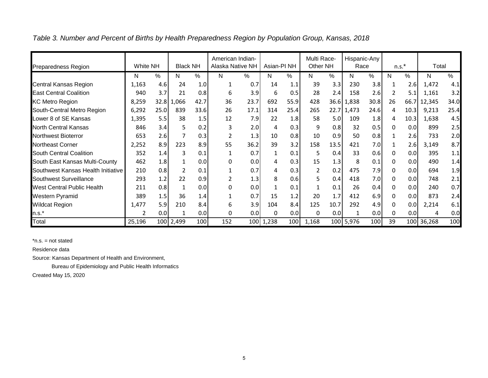| <b>Preparedness Region</b>         | White NH |      | <b>Black NH</b> |      | American Indian-<br>Alaska Native NH |      | Asian-PI <sub>NH</sub> |      | Multi Race-<br>Other NH |      | Hispanic-Any<br>Race |      |              | $n.s.*$ | Total      |      |
|------------------------------------|----------|------|-----------------|------|--------------------------------------|------|------------------------|------|-------------------------|------|----------------------|------|--------------|---------|------------|------|
|                                    | N        | %    | N               | %    | N                                    | %    | N                      | $\%$ | N                       | $\%$ | N                    | $\%$ | N            | $\%$    | N          | %    |
| <b>Central Kansas Region</b>       | 1,163    | 4.6  | 24              | 1.0  |                                      | 0.7  | 14                     | 1.1  | 39                      | 3.3  | 230                  | 3.8  |              | 2.6     | 1,472      | 4.1  |
| <b>East Central Coalition</b>      | 940      | 3.7  | 21              | 0.8  | 6                                    | 3.9  | 6                      | 0.5  | 28                      | 2.4  | 158                  | 2.6  |              | 5.1     | 1,161      | 3.2  |
| <b>KC Metro Region</b>             | 8,259    |      | 32.8 1,066      | 42.7 | 36                                   | 23.7 | 692                    | 55.9 | 428                     |      | 36.6 1,838           | 30.8 | 26           | 66.7    | 12,345     | 34.0 |
| South-Central Metro Region         | 6,292    | 25.0 | 839             | 33.6 | 26                                   | 17.1 | 314                    | 25.4 | 265                     | 22.7 | 1,473                | 24.6 | 4            | 10.3    | 9,213      | 25.4 |
| Lower 8 of SE Kansas               | 1,395    | 5.5  | 38              | 1.5  | 12                                   | 7.9  | 22                     | 1.8  | 58                      | 5.0  | 109                  | 1.8  | 4            | 10.3    | 1,638      | 4.5  |
| North Central Kansas               | 846      | 3.4  | 5               | 0.2  | 3                                    | 2.0  | 4                      | 0.3  | 9                       | 0.8  | 32                   | 0.5  | 0            | 0.0     | 899        | 2.5  |
| Northwest Bioterror                | 653      | 2.6  |                 | 0.3  | 2                                    | 1.3  | 10                     | 0.8  | 10                      | 0.9  | 50                   | 0.8  |              | 2.6     | 733        | 2.0  |
| Northeast Corner                   | 2,252    | 8.9  | 223             | 8.9  | 55                                   | 36.2 | 39                     | 3.2  | 158                     | 13.5 | 421                  | 7.0  |              | 2.6     | 3,149      | 8.7  |
| South Central Coalition            | 352      | 1.4  | 3               | 0.1  | 1                                    | 0.7  | $\mathbf{1}$           | 0.1  | 5.                      | 0.4  | 33                   | 0.6  | <sup>n</sup> | 0.0     | 395        | 1.1  |
| South East Kansas Multi-County     | 462      | 1.8  | 1               | 0.0  | 0                                    | 0.0  | 4                      | 0.3  | 15                      | 1.3  | 8                    | 0.1  | 0            | 0.0     | 490        | 1.4  |
| Southwest Kansas Health Initiative | 210      | 0.8  |                 | 0.1  |                                      | 0.7  | 4                      | 0.3  | $\overline{2}$          | 0.2  | 475                  | 7.9  | 0            | 0.0     | 694        | 1.9  |
| Southwest Surveillance             | 293      | 1.2  | 22              | 0.9  | 2                                    | 1.3  | 8                      | 0.6  | 5                       | 0.4  | 418                  | 7.0  | 0            | 0.0     | 748        | 2.1  |
| <b>West Central Public Health</b>  | 211      | 0.8  | 1               | 0.0  | 0                                    | 0.0  | $\mathbf{1}$           | 0.1  |                         | 0.1  | 26                   | 0.4  |              | 0.0     | 240        | 0.7  |
| <b>Western Pyramid</b>             | 389      | 1.5  | 36              | 1.4  |                                      | 0.7  | 15                     | 1.2  | 20                      | 1.7  | 412                  | 6.9  |              | 0.0     | 873        | 2.4  |
| <b>Wildcat Region</b>              | 1,477    | 5.9  | 210             | 8.4  | 6                                    | 3.9  | 104                    | 8.4  | 125                     | 10.7 | 292                  | 4.9  | 0            | 0.0     | 2,214      | 6.1  |
| $n.s.*$                            | 2        | 0.0  | 1               | 0.0  | 0                                    | 0.0  | $\Omega$               | 0.0  | 0                       | 0.0  | 1                    | 0.0  | 0            | 0.0     | 4          | 0.0  |
| Total                              | 25,196   |      | 100 2,499       | 100  | 152                                  |      | 100 1,238              | 100  | 1,168                   |      | 100 5,976            | 100  | 39           |         | 100 36,268 | 100  |

*Table 3. Number and Percent of Births by Health Preparedness Region by Population Group, Kansas, 2018*

Residence data

Source: Kansas Department of Health and Environment,

Bureau of Epidemiology and Public Health Informatics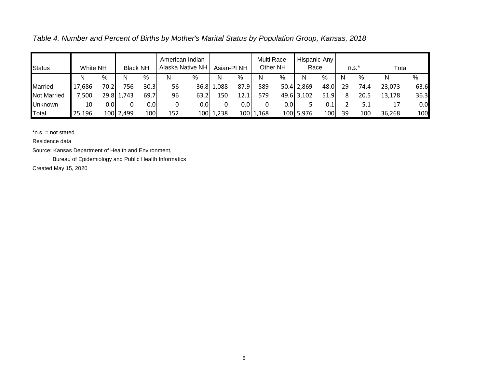*Table 4. Number and Percent of Births by Mother's Marital Status by Population Group, Kansas, 2018*

| <b>Status</b>      | <b>White NH</b> |                   | <b>Black NH</b> |                  |     | American Indian-<br>Alaska Native NH |            | Asian-PI <sub>NH</sub> |           | Multi Race-<br>Other NH | Hispanic-Any<br>Race |      |    | $n.s.*$ | Total  |      |
|--------------------|-----------------|-------------------|-----------------|------------------|-----|--------------------------------------|------------|------------------------|-----------|-------------------------|----------------------|------|----|---------|--------|------|
|                    | N               | %                 | N               | %                | N   | $\%$                                 | N          | %                      | N         | %                       | N                    | %    | N  | %       | N      | %    |
| <b>Married</b>     | 686,            | 70.2 <sub>1</sub> | 756.            | 30.3             | 56  |                                      | 36.8 1,088 | 87.9                   | 589       |                         | $50.4$ 2,869         | 48.0 | 29 | 74.4    | 23,073 | 63.6 |
| <b>Not Married</b> | ,500            |                   | 29.8 1,743      | 69.7             | 96  | 63.2                                 | 150        | 12.1                   | 579       |                         | 49.6 3,102           | 51.9 |    | 20.5    | 13,178 | 36.3 |
| Unknown            | 10              | 0.01              |                 | 0.0 <sub>l</sub> |     | 0.0                                  |            | 0.01                   | 0         | 0.0I                    |                      | 0.1  |    | 5.1I    | 17     | 0.0  |
| Total              | 25,196          |                   | 100 2,499       | 100              | 152 |                                      | 100 1,238  |                        | 100 1,168 |                         | 100 5,976            | 100  | 39 | 100     | 36,268 | 100  |

Residence data

Source: Kansas Department of Health and Environment,

Bureau of Epidemiology and Public Health Informatics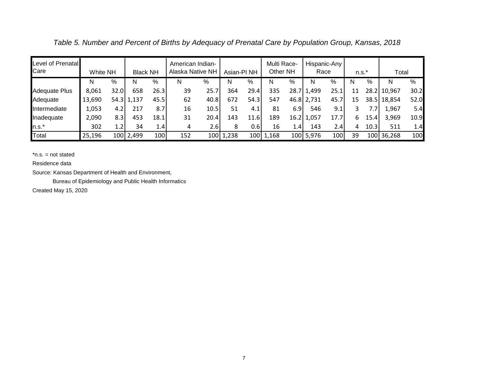*Table 5. Number and Percent of Births by Adequacy of Prenatal Care by Population Group, Kansas, 2018*

| Level of Prenatal<br>Care | White NH |                  | <b>Black NH</b> |      | American Indian-<br>Alaska Native NH |                  | Asian-PI <sub>NH</sub> |      | Multi Race-<br>Other NH |      | Race       | Hispanic-Any | $n.s.*$ |      | Total       |      |
|---------------------------|----------|------------------|-----------------|------|--------------------------------------|------------------|------------------------|------|-------------------------|------|------------|--------------|---------|------|-------------|------|
|                           | N        | %                | N               | %    | N                                    | %                | N                      | %    | N                       | %    | N          | %            | N       | %    | N           | %    |
| <b>Adequate Plus</b>      | 8,061    | 32.0             | 658             | 26.3 | 39                                   | 25.7             | 364                    | 29.4 | 335                     | 28.7 | 1,499      | 25.1         | 11      |      | 28.2 10,967 | 30.2 |
| Adequate                  | 13,690   |                  | 54.3 1,137      | 45.5 | 62                                   | 40.8             | 672                    | 54.3 | 547                     |      | 46.8 2,731 | 45.7         | 15      |      | 38.5 18,854 | 52.0 |
| Intermediate              | 1,053    | 4.2              | 217             | 8.7  | 16                                   | 10.5             | 51                     | 4.1  | 81                      | 6.9  | 546        | 9.1          | 3       | 7.7  | 1,967       | 5.4  |
| Inadequate                | 2,090    | 8.3              | 453             | 18.1 | 31                                   | 20.4             | 143                    | 11.6 | 189                     | 16.2 | 1,057      | 17.7         | 6.      | 15.4 | 3,969       | 10.9 |
| $n.s.*$                   | 302      | 1.2 <sub>l</sub> | 34              | 1.4  | 4                                    | 2.6              | 8                      | 0.6  | 16                      | 1.4  | 143        | 2.4          | 4       | 10.3 | 511         | 1.4  |
| Total                     | 25,196   |                  | 100 2,499       | 100  | 152                                  | 100 <sup> </sup> | 1,238                  | 100  | 1,168                   |      | 100 5,976  | 100          | 39      |      | 100 36,268  | 100  |

Residence data

Source: Kansas Department of Health and Environment,

Bureau of Epidemiology and Public Health Informatics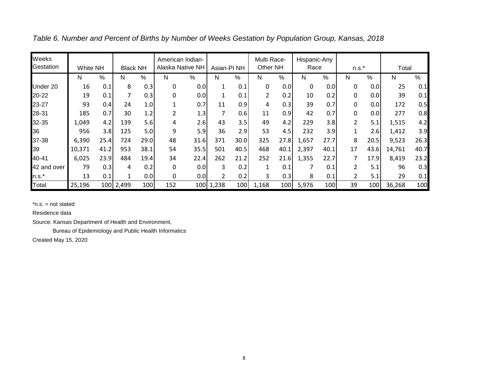| Weeks<br>Gestation | White NH |      | <b>Black NH</b> |                  | American Indian- | Alaska Native NH | Asian-PI <sub>NH</sub> |      | Multi Race-<br>Other NH |      | Hispanic-Any<br>Race |      | $n.s.*$        |      | Total  |      |
|--------------------|----------|------|-----------------|------------------|------------------|------------------|------------------------|------|-------------------------|------|----------------------|------|----------------|------|--------|------|
|                    | Ν        | %    | N               | %                | N                | %                | N                      | %    | N                       | %    | N                    | $\%$ | N              | %    | N      | %    |
| Under 20           | 16       | 0.1  | 8               | 0.3              | 0                | 0.0              |                        | 0.1  | 0                       | 0.0  | 0                    | 0.0  | 0              | 0.0  | 25     | 0.1  |
| 20-22              | 19       | 0.1  | 7               | 0.3              | 0                | 0.0              |                        | 0.1  | $\overline{2}$          | 0.2  | 10                   | 0.2  |                | 0.0  | 39     | 0.1  |
| 23-27              | 93       | 0.4  | 24              | 1.0              |                  | 0.7              | 11                     | 0.9  | 4                       | 0.3  | 39                   | 0.7  | 0              | 0.0  | 172    | 0.5  |
| 28-31              | 185      | 0.7  | 30              | 1.2 <sub>1</sub> | $\overline{2}$   | 1.3              | 7                      | 0.6  | 11                      | 0.9  | 42                   | 0.7  | 0              | 0.0  | 277    | 0.8  |
| 32-35              | 1,049    | 4.2  | 139             | 5.6              | 4                | 2.6              | 43                     | 3.5  | 49                      | 4.2  | 229                  | 3.8  | $\overline{2}$ | 5.1  | 1,515  | 4.2  |
| 36                 | 956      | 3.8  | 125             | 5.0              | 9                | 5.9              | 36                     | 2.9  | 53                      | 4.5  | 232                  | 3.9  |                | 2.6  | 1,412  | 3.9  |
| 37-38              | 6,390    | 25.4 | 724             | 29.0             | 48               | 31.6             | 371                    | 30.0 | 325                     | 27.8 | 1,657                | 27.7 | 8              | 20.5 | 9,523  | 26.3 |
| 39                 | 10,371   | 41.2 | 953             | 38.1             | 54               | 35.5             | 501                    | 40.5 | 468                     | 40.1 | 2,397                | 40.1 | 17             | 43.6 | 14,761 | 40.7 |
| 40-41              | 6,025    | 23.9 | 484             | 19.4             | 34               | 22.4             | 262                    | 21.2 | 252                     | 21.6 | 1,355                | 22.7 |                | 17.9 | 8,419  | 23.2 |
| 42 and over        | 79       | 0.3  | 4               | 0.2              | 0                | 0.0              | 3                      | 0.2  |                         | 0.1  | 7                    | 0.1  | 2              | 5.1  | 96     | 0.3  |
| $n.s.*$            | 13       | 0.1  |                 | 0.0              | 0                | 0.0              | $\overline{2}$         | 0.2  | 3                       | 0.3  | 8                    | 0.1  | $\overline{2}$ | 5.1  | 29     | 0.1  |
| Total              | 25,196   | 100  | 2,499           | 100              | 152              | 100              | 1,238                  | 100  | 1,168                   | 100  | 5,976                | 100  | 39             | 100  | 36,268 | 100  |

*Table 6. Number and Percent of Births by Number of Weeks Gestation by Population Group, Kansas, 2018*

Residence data

Source: Kansas Department of Health and Environment,

Bureau of Epidemiology and Public Health Informatics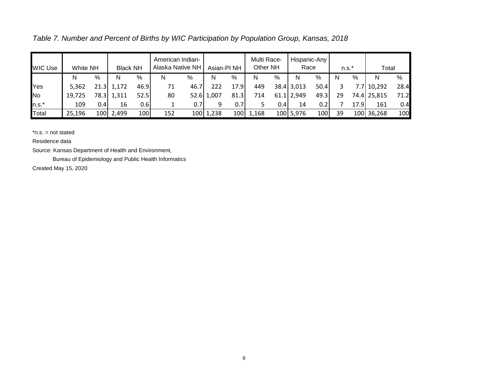*Table 7. Number and Percent of Births by WIC Participation by Population Group, Kansas, 2018*

| <b>WIC Use</b> | White NH |      | <b>Black NH</b> |      | American Indian-<br>Alaska Native NH |      | Asian-PI <sub>NH</sub> |      | Multi Race-<br>Other NH |      | Race           | Hispanic-Any |    | $n.s.*$ | Total       |      |
|----------------|----------|------|-----------------|------|--------------------------------------|------|------------------------|------|-------------------------|------|----------------|--------------|----|---------|-------------|------|
|                | N        | %    | N               | %    | N                                    | %    | N                      | %    | N                       | %    | N              | %            | N  | %       | N           | %    |
| Yes            | 5,362    | 21.3 | 1,172           | 46.9 | 71                                   | 46.7 | 222                    | 17.9 | 449                     |      | $38.4$ 3,013   | 50.4         |    |         | 7.7 10,292  | 28.4 |
| No             | 19.725   |      | 78.3 1,311      | 52.5 | 80                                   |      | 52.6 1,007             | 81.3 | 714                     |      | $61.1$   2,949 | 49.3         | 29 |         | 74.4 25,815 | 71.2 |
| $n.s.*$        | 109      | 0.4I | 16              | 0.6  |                                      | 0.71 |                        | 0.7  |                         | 0.4I | 14             | 0.2          |    | 17.9    | 161         | 0.4  |
| Total          | 25,196   | 100  | 2,499           | 100  | 152                                  |      | 100 1,238              | 100  | 1,168                   |      | 100 5,976      | 100          | 39 |         | 100 36,268  | 100  |

Residence data

Source: Kansas Department of Health and Environment,

Bureau of Epidemiology and Public Health Informatics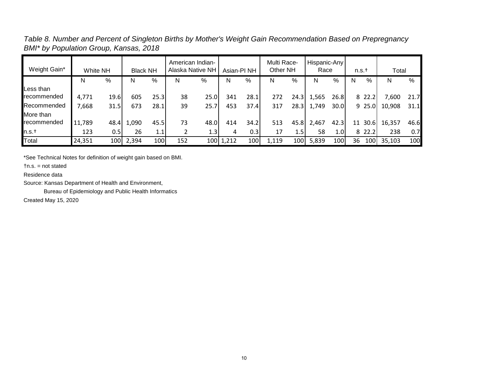*Table 8. Number and Percent of Singleton Births by Mother's Weight Gain Recommendation Based on Prepregnancy BMI\* by Population Group, Kansas, 2018*

|              |          |       |                 |      |     | American Indian- |                        |      | Multi Race- |       | Hispanic-Any |      |    |           |        |      |
|--------------|----------|-------|-----------------|------|-----|------------------|------------------------|------|-------------|-------|--------------|------|----|-----------|--------|------|
| Weight Gain* | White NH |       | <b>Black NH</b> |      |     | Alaska Native NH | Asian-PI <sub>NH</sub> |      | Other NH    |       | Race         |      |    | n.s.t     | Total  |      |
|              | N        | %     | N               | %    | N   | %                | N                      | %    | N           | $\%$  | N            | %    | N  | $\%$      | N      | %    |
| Less than    |          |       |                 |      |     |                  |                        |      |             |       |              |      |    |           |        |      |
| recommended  | 4,771    | 19.6  | 605             | 25.3 | 38  | 25.0             | 341                    | 28.1 | 272         | 24.31 | 1,565        | 26.8 |    | 8 22.2    | 7,600  | 21.7 |
| Recommended  | 7,668    | 31.5  | 673             | 28.1 | 39  | 25.7             | 453                    | 37.4 | 317         | 28.31 | 1,749        | 30.0 |    | $9\,25.0$ | 10,908 | 31.1 |
| More than    |          |       |                 |      |     |                  |                        |      |             |       |              |      |    |           |        |      |
| recommended  | 11,789   | 48.4I | 1,090           | 45.5 | 73  | 48.0             | 414                    | 34.2 | 513         | 45.8  | 2,467        | 42.3 |    | 11 30.6   | 16,357 | 46.6 |
| $\ln s.t$    | 123      | 0.5   | 26              | 1.1  |     | 1.3              |                        | 0.3  | 17          | 1.5I  | 58           | 1.0I |    | 8 22.2    | 238    | 0.7  |
| Total        | 24,351   | 100   | 2,394           | 100  | 152 |                  | 100 1,212              | 100  | 1,119       | 100   | 5,839        | 100  | 36 | 100       | 35,103 | 100  |

\*See Technical Notes for definition of weight gain based on BMI.

†n.s. = not stated

Residence data

Source: Kansas Department of Health and Environment,

Bureau of Epidemiology and Public Health Informatics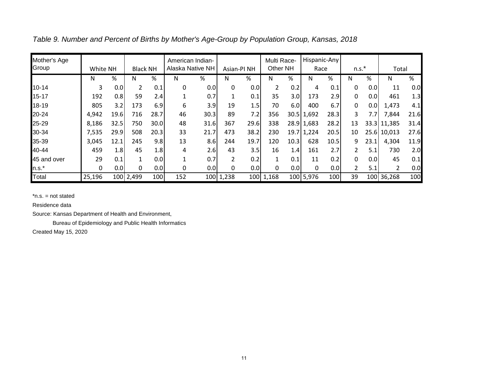| Mother's Age |          |                  |                 |                  | American Indian- |      |                |                  | Multi Race- |      | Hispanic-Any |      |                |      |               |      |
|--------------|----------|------------------|-----------------|------------------|------------------|------|----------------|------------------|-------------|------|--------------|------|----------------|------|---------------|------|
| Group        | White NH |                  | <b>Black NH</b> |                  | Alaska Native NH |      |                | Asian-PI NH      | Other NH    |      | Race         |      | $n.s.*$        |      | Total         |      |
|              | N        | %                | N               | %                | N                | %    | Ν              | %                | N           | %    | N            | $\%$ | N              | %    | N             | %    |
| $10 - 14$    | 3        | 0.0              | 2               | 0.1              | 0                | 0.0  | 0              | 0.0              |             | 0.2  | 4            | 0.1  | 0              | 0.0  | 11            | 0.0  |
| $15 - 17$    | 192      | 0.8              | 59              | 2.4              |                  | 0.7  | 1              | 0.1              | 35          | 3.OI | 173          | 2.9  | 0              | 0.0  | 461           | 1.3  |
| 18-19        | 805      | 3.2              | 173             | 6.9              | 6                | 3.9  | 19             | 1.5              | 70          | 6.0  | 400          | 6.7  | 0              | 0.01 | 1,473         | 4.1  |
| 20-24        | 4,942    | 19.6             | 716             | 28.7             | 46               | 30.3 | 89             | 7.2              | 356         |      | 30.5 1,692   | 28.3 | 3              | 7.7  | 7,844         | 21.6 |
| 25-29        | 8,186    | 32.5             | 750             | 30.0             | 48               | 31.6 | 367            | 29.6             | 338         |      | 28.9 1,683   | 28.2 | 13             |      | 33.3 11,385   | 31.4 |
| 30-34        | 7,535    | 29.9             | 508             | 20.3             | 33               | 21.7 | 473            | 38.2             | 230         |      | 19.7 1,224   | 20.5 | 10             |      | 25.6 10,013   | 27.6 |
| 35-39        | 3,045    | 12.1             | 245             | 9.8              | 13               | 8.6  | 244            | 19.7             | 120         | 10.3 | 628          | 10.5 | 9              | 23.1 | 4,304         | 11.9 |
| 40-44        | 459      | 1.8              | 45              | 1.8 <sub>1</sub> | 4                | 2.6  | 43             | 3.5              | 16          | 1.4  | 161          | 2.7  | $\overline{2}$ | 5.1  | 730           | 2.0  |
| 45 and over  | 29       | 0.1              |                 | 0.0              |                  | 0.7  | $\overline{2}$ | 0.2              |             | 0.1  | 11           | 0.2  | 0              | 0.0  | 45            | 0.1  |
| $n.s.*$      | 0        | 0.0 <sub>l</sub> | 0               | 0.0              | 0                | 0.0  | 0              | 0.0 <sub>l</sub> | 0           | 0.0  | 0            | 0.0  | $\overline{2}$ | 5.1  | $\mathcal{P}$ | 0.0  |
| Total        | 25,196   |                  | 100 2,499       | 100              | 152              |      | 100 1,238      | 100              | 1,168       |      | 100 5,976    | 100  | 39             |      | 100 36,268    | 100  |

*Table 9. Number and Percent of Births by Mother's Age-Group by Population Group, Kansas, 2018*

Residence data

Source: Kansas Department of Health and Environment,

Bureau of Epidemiology and Public Health Informatics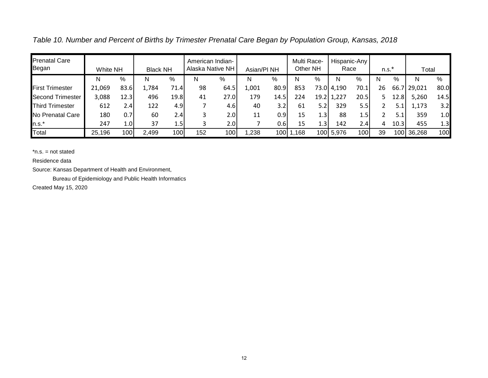*Table 10. Number and Percent of Births by Trimester Prenatal Care Began by Population Group, Kansas, 2018* Prenatal Care American Indian- $\mathbf{I}$ Multi Race-Hispanic-Any

| טווענעו טעונע<br>Began  | White NH |                  | <b>Black NH</b> |      | Alliciitail Illuiail <sup>-</sup><br>Alaska Native NH |                  | Asian/PI <sub>NH</sub> |                  | <b>IVIUIU INQUE-</b><br>Other NH |                  | Race       | i lispalliu-Aliv | $n.s.^*$ |       | Total  |      |
|-------------------------|----------|------------------|-----------------|------|-------------------------------------------------------|------------------|------------------------|------------------|----------------------------------|------------------|------------|------------------|----------|-------|--------|------|
|                         | N        | %                | N               | %    | N                                                     | %                | N                      | %                | N                                | $\%$             | N          | %                | N        | $\%$  | N      | %    |
| <b>First Trimester</b>  | 21,069   | 83.6             | 1,784           | 71.4 | 98                                                    | 64.5             | 1,001                  | 80.9             | 853                              |                  | 73.0 4,190 | 70.1             | 26       | 66.   | 29,021 | 80.0 |
| <b>Second Trimester</b> | 3,088    | 12.3             | 496             | 19.8 | 41                                                    | 27.0             | 179                    | 14.5             | 224                              |                  | 19.2 1,227 | 20.5             |          | 12.8  | 5,260  | 14.5 |
| <b>Third Trimester</b>  | 612      | 2.4              | 122             | 4.9  |                                                       | 4.6              | 40                     | 3.2              | 61                               | 5.2 <sub>1</sub> | 329        | 5.5              |          |       | l.173  | 3.2  |
| No Prenatal Care        | 180      | 0.7              | 60              | 2.4  |                                                       | 2.0 <sub>l</sub> | 11                     | 0.9              | 15                               | 1.3'             | 88         | 1.5              |          | 5.1   | 359    | 1.0  |
| n.s.*                   | 247      | 1.0 <sub>l</sub> | 37              | 1.5  |                                                       | 2.0              |                        | 0.6 <sub>l</sub> | 15                               | $4.3^{\circ}$    | 142        | 2.4              | 4        | 10.3  | 455    | 1.3  |
| Total                   | 25,196   | 100              | 2,499           | 100  | 152                                                   | 100              | ,238                   | 100 1            | 1,168                            |                  | 100 5,976  | 100              | 39       | 100 I | 36,268 | 100  |

Residence data

Source: Kansas Department of Health and Environment,

Bureau of Epidemiology and Public Health Informatics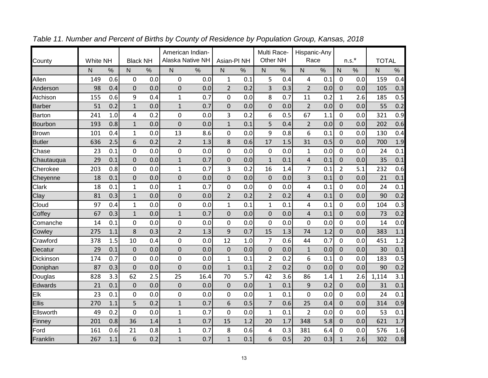|               |                 |     |                 |     | American Indian-        |      |                        |     | Multi Race-    |     | Hispanic-Any   |      |                |         |              |      |
|---------------|-----------------|-----|-----------------|-----|-------------------------|------|------------------------|-----|----------------|-----|----------------|------|----------------|---------|--------------|------|
| County        | <b>White NH</b> |     | <b>Black NH</b> |     | <b>Alaska Native NH</b> |      | Asian-PI <sub>NH</sub> |     | Other NH       |     | Race           |      |                | $n.s.*$ | <b>TOTAL</b> |      |
|               | N               | %   | $\mathsf{N}$    | %   | $\mathsf{N}$            | $\%$ | N                      | %   | N              | %   | $\mathsf{N}$   | $\%$ | N              | %       | Ν            | $\%$ |
| Allen         | 149             | 0.6 | $\mathbf 0$     | 0.0 | $\mathbf 0$             | 0.0  | $\mathbf{1}$           | 0.1 | 5              | 0.4 | 4              | 0.1  | $\mathbf 0$    | 0.0     | 159          | 0.4  |
| Anderson      | 98              | 0.4 | $\mathbf 0$     | 0.0 | 0                       | 0.0  | $\overline{2}$         | 0.2 | 3              | 0.3 | $\overline{2}$ | 0.0  | 0              | 0.0     | 105          | 0.3  |
| Atchison      | 155             | 0.6 | 9               | 0.4 | $\mathbf{1}$            | 0.7  | 0                      | 0.0 | 8              | 0.7 | 11             | 0.2  | $\mathbf{1}$   | 2.6     | 185          | 0.5  |
| <b>Barber</b> | 51              | 0.2 | $\mathbf{1}$    | 0.0 | $\overline{1}$          | 0.7  | $\mathbf 0$            | 0.0 | $\mathbf 0$    | 0.0 | $\overline{2}$ | 0.0  | 0              | 0.0     | 55           | 0.2  |
| <b>Barton</b> | 241             | 1.0 | 4               | 0.2 | 0                       | 0.0  | 3                      | 0.2 | 6              | 0.5 | 67             | 1.1  | 0              | 0.0     | 321          | 0.9  |
| Bourbon       | 193             | 0.8 | $\mathbf{1}$    | 0.0 | $\mathbf 0$             | 0.0  | $\mathbf{1}$           | 0.1 | 5              | 0.4 | $\overline{2}$ | 0.0  | 0              | 0.0     | 202          | 0.6  |
| <b>Brown</b>  | 101             | 0.4 | $\mathbf{1}$    | 0.0 | 13                      | 8.6  | 0                      | 0.0 | 9              | 0.8 | 6              | 0.1  | 0              | 0.0     | 130          | 0.4  |
| <b>Butler</b> | 636             | 2.5 | 6               | 0.2 | $\overline{2}$          | 1.3  | 8                      | 0.6 | 17             | 1.5 | 31             | 0.5  | $\Omega$       | 0.0     | 700          | 1.9  |
| Chase         | 23              | 0.1 | 0               | 0.0 | 0                       | 0.0  | 0                      | 0.0 | 0              | 0.0 | 1              | 0.0  | 0              | 0.0     | 24           | 0.1  |
| Chautauqua    | 29              | 0.1 | 0               | 0.0 | $\mathbf 1$             | 0.7  | $\mathsf 0$            | 0.0 | $\mathbf{1}$   | 0.1 | 4              | 0.1  | 0              | 0.0     | 35           | 0.1  |
| Cherokee      | 203             | 0.8 | 0               | 0.0 | $\mathbf{1}$            | 0.7  | 3                      | 0.2 | 16             | 1.4 | $\overline{7}$ | 0.1  | $\overline{2}$ | 5.1     | 232          | 0.6  |
| Cheyenne      | 18              | 0.1 | $\mathbf 0$     | 0.0 | $\mathsf 0$             | 0.0  | $\mathbf 0$            | 0.0 | $\pmb{0}$      | 0.0 | 3              | 0.1  | 0              | 0.0     | 21           | 0.1  |
| Clark         | 18              | 0.1 | $\mathbf{1}$    | 0.0 | $\mathbf{1}$            | 0.7  | 0                      | 0.0 | 0              | 0.0 | 4              | 0.1  | 0              | 0.0     | 24           | 0.1  |
| Clay          | 81              | 0.3 | $\mathbf{1}$    | 0.0 | $\mathsf 0$             | 0.0  | $\overline{2}$         | 0.2 | $\overline{2}$ | 0.2 | 4              | 0.1  | 0              | 0.0     | 90           | 0.2  |
| Cloud         | 97              | 0.4 | $\mathbf{1}$    | 0.0 | 0                       | 0.0  | $\mathbf{1}$           | 0.1 | $\mathbf{1}$   | 0.1 | 4              | 0.1  | 0              | 0.0     | 104          | 0.3  |
| Coffey        | 67              | 0.3 | $\mathbf{1}$    | 0.0 | $\mathbf{1}$            | 0.7  | 0                      | 0.0 | $\mathbf 0$    | 0.0 | 4              | 0.1  | 0              | 0.0     | 73           | 0.2  |
| Comanche      | 14              | 0.1 | 0               | 0.0 | 0                       | 0.0  | 0                      | 0.0 | 0              | 0.0 | 0              | 0.0  | 0              | 0.0     | 14           | 0.0  |
| Cowley        | 275             | 1.1 | 8               | 0.3 | $\overline{2}$          | 1.3  | 9                      | 0.7 | 15             | 1.3 | 74             | 1.2  | 0              | 0.0     | 383          | 1.1  |
| Crawford      | 378             | 1.5 | 10              | 0.4 | 0                       | 0.0  | 12                     | 1.0 | $\overline{7}$ | 0.6 | 44             | 0.7  | 0              | 0.0     | 451          | 1.2  |
| Decatur       | 29              | 0.1 | $\mathbf 0$     | 0.0 | $\mathbf 0$             | 0.0  | $\mathbf 0$            | 0.0 | $\mathbf 0$    | 0.0 | $\mathbf 1$    | 0.0  | 0              | 0.0     | 30           | 0.1  |
| Dickinson     | 174             | 0.7 | 0               | 0.0 | 0                       | 0.0  | $\mathbf 1$            | 0.1 | $\overline{2}$ | 0.2 | 6              | 0.1  | 0              | 0.0     | 183          | 0.5  |
| Doniphan      | 87              | 0.3 | $\mathbf 0$     | 0.0 | $\mathbf 0$             | 0.0  | $\mathbf{1}$           | 0.1 | $\overline{2}$ | 0.2 | 0              | 0.0  | 0              | 0.0     | 90           | 0.2  |
| Douglas       | 828             | 3.3 | 62              | 2.5 | 25                      | 16.4 | 70                     | 5.7 | 42             | 3.6 | 86             | 1.4  | $\mathbf{1}$   | 2.6     | 1,114        | 3.1  |
| Edwards       | 21              | 0.1 | $\mathbf 0$     | 0.0 | $\mathbf 0$             | 0.0  | $\overline{0}$         | 0.0 | $\mathbf{1}$   | 0.1 | 9              | 0.2  | 0              | 0.0     | 31           | 0.1  |
| Elk           | 23              | 0.1 | 0               | 0.0 | 0                       | 0.0  | 0                      | 0.0 | $\mathbf{1}$   | 0.1 | 0              | 0.0  | 0              | 0.0     | 24           | 0.1  |
| Ellis         | 270             | 1.1 | 5               | 0.2 | $\mathbf{1}$            | 0.7  | 6                      | 0.5 | $\overline{7}$ | 0.6 | 25             | 0.4  | 0              | 0.0     | 314          | 0.9  |
| Ellsworth     | 49              | 0.2 | 0               | 0.0 | 1                       | 0.7  | 0                      | 0.0 | $\mathbf{1}$   | 0.1 | $\overline{2}$ | 0.0  | 0              | 0.0     | 53           | 0.1  |
| Finney        | 201             | 0.8 | 36              | 1.4 | $\mathbf 1$             | 0.7  | 15                     | 1.2 | 20             | 1.7 | 348            | 5.8  | 0              | 0.0     | 621          | 1.7  |
| Ford          | 161             | 0.6 | 21              | 0.8 | 1                       | 0.7  | 8                      | 0.6 | 4              | 0.3 | 381            | 6.4  | 0              | 0.0     | 576          | 1.6  |
| Franklin      | 267             | 1.1 | 6               | 0.2 | $\mathbf{1}$            | 0.7  | $\mathbf{1}$           | 0.1 | 6              | 0.5 | 20             | 0.3  | $\mathbf{1}$   | 2.6     | 302          | 0.8  |

*Table 11. Number and Percent of Births by County of Residence by Population Group, Kansas, 2018*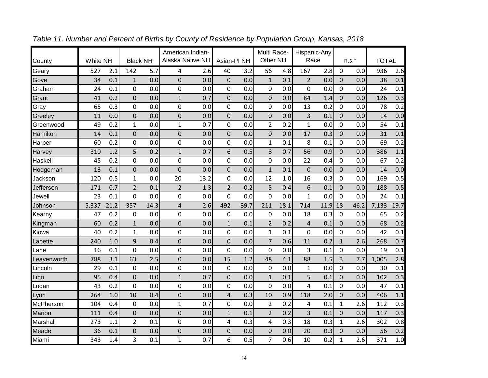|             |          |      |                 |      | American Indian-        |      |                        |      | Multi Race-    |      | Hispanic-Any   |      |              |         |              |      |
|-------------|----------|------|-----------------|------|-------------------------|------|------------------------|------|----------------|------|----------------|------|--------------|---------|--------------|------|
| County      | White NH |      | <b>Black NH</b> |      | <b>Alaska Native NH</b> |      | Asian-PI <sub>NH</sub> |      | Other NH       |      | Race           |      |              | $n.s.*$ | <b>TOTAL</b> |      |
| Geary       | 527      | 2.1  | 142             | 5.7  | 4                       | 2.6  | 40                     | 3.2  | 56             | 4.8  | 167            | 2.8  | 0            | 0.0     | 936          | 2.6  |
| Gove        | 34       | 0.1  | $\mathbf{1}$    | 0.0  | $\mathbf 0$             | 0.0  | $\mathbf 0$            | 0.0  | $\mathbf{1}$   | 0.1  | $\overline{2}$ | 0.0  | 0            | 0.0     | 38           | 0.1  |
| Graham      | 24       | 0.1  | 0               | 0.0  | 0                       | 0.0  | 0                      | 0.0  | 0              | 0.0  | 0              | 0.0  | 0            | 0.0     | 24           | 0.1  |
| Grant       | 41       | 0.2  | $\mathbf 0$     | 0.0  | $\mathbf{1}$            | 0.7  | $\overline{0}$         | 0.0  | $\mathbf 0$    | 0.0  | 84             | 1.4  | 0            | 0.0     | 126          | 0.3  |
| Gray        | 65       | 0.3  | 0               | 0.0  | 0                       | 0.0  | 0                      | 0.0  | 0              | 0.0  | 13             | 0.2  | 0            | 0.0     | 78           | 0.2  |
| Greeley     | 11       | 0.0  | $\mathbf 0$     | 0.0  | $\mathbf 0$             | 0.0  | $\mathbf 0$            | 0.0  | $\mathbf 0$    | 0.0  | 3              | 0.1  | 0            | 0.0     | 14           | 0.0  |
| Greenwood   | 49       | 0.2  | $\mathbf{1}$    | 0.0  | 1                       | 0.7  | 0                      | 0.0  | $\overline{2}$ | 0.2  | 1              | 0.0  | 0            | 0.0     | 54           | 0.1  |
| Hamilton    | 14       | 0.1  | 0               | 0.0  | 0                       | 0.0  | $\Omega$               | 0.0  | $\mathbf 0$    | 0.0  | 17             | 0.3  | 0            | 0.0     | 31           | 0.1  |
| Harper      | 60       | 0.2  | 0               | 0.0  | 0                       | 0.0  | 0                      | 0.0  | $\mathbf{1}$   | 0.1  | 8              | 0.1  | 0            | 0.0     | 69           | 0.2  |
| Harvey      | 310      | 1.2  | 5               | 0.2  | $\mathbf{1}$            | 0.7  | 6                      | 0.5  | 8              | 0.7  | 56             | 0.9  | 0            | 0.0     | 386          | 1.1  |
| Haskell     | 45       | 0.2  | 0               | 0.0  | 0                       | 0.0  | 0                      | 0.0  | 0              | 0.0  | 22             | 0.4  | 0            | 0.0     | 67           | 0.2  |
| Hodgeman    | 13       | 0.1  | $\mathbf 0$     | 0.0  | $\overline{0}$          | 0.0  | $\overline{0}$         | 0.0  | $\mathbf{1}$   | 0.1  | $\mathbf 0$    | 0.0  | 0            | 0.0     | 14           | 0.0  |
| Jackson     | 120      | 0.5  | $\mathbf{1}$    | 0.0  | 20                      | 13.2 | 0                      | 0.0  | 12             | 1.0  | 16             | 0.3  | 0            | 0.0     | 169          | 0.5  |
| Jefferson   | 171      | 0.7  | $\overline{2}$  | 0.1  | $\overline{2}$          | 1.3  | $\overline{2}$         | 0.2  | 5              | 0.4  | 6              | 0.1  | 0            | 0.0     | 188          | 0.5  |
| Jewell      | 23       | 0.1  | 0               | 0.0  | 0                       | 0.0  | 0                      | 0.0  | 0              | 0.0  | $\mathbf{1}$   | 0.0  | 0            | 0.0     | 24           | 0.1  |
| Johnson     | 5,337    | 21.2 | 357             | 14.3 | 4                       | 2.6  | 492                    | 39.7 | 211            | 18.1 | 714            | 11.9 | 18           | 46.2    | 7,133        | 19.7 |
| Kearny      | 47       | 0.2  | $\mathbf 0$     | 0.0  | 0                       | 0.0  | 0                      | 0.0  | 0              | 0.0  | 18             | 0.3  | 0            | 0.0     | 65           | 0.2  |
| Kingman     | 60       | 0.2  | $\mathbf{1}$    | 0.0  | $\mathsf 0$             | 0.0  | $\mathbf 1$            | 0.1  | $\overline{2}$ | 0.2  | 4              | 0.1  | 0            | 0.0     | 68           | 0.2  |
| Kiowa       | 40       | 0.2  | $\mathbf{1}$    | 0.0  | 0                       | 0.0  | 0                      | 0.0  | $\mathbf{1}$   | 0.1  | 0              | 0.0  | 0            | 0.0     | 42           | 0.1  |
| _abette     | 240      | 1.0  | 9               | 0.4  | $\mathbf 0$             | 0.0  | $\mathbf 0$            | 0.0  | $\overline{7}$ | 0.6  | 11             | 0.2  | $\mathbf{1}$ | 2.6     | 268          | 0.7  |
| .ane        | 16       | 0.1  | 0               | 0.0  | 0                       | 0.0  | 0                      | 0.0  | 0              | 0.0  | 3              | 0.1  | 0            | 0.0     | 19           | 0.1  |
| Leavenworth | 788      | 3.1  | 63              | 2.5  | 0                       | 0.0  | 15                     | 1.2  | 48             | 4.1  | 88             | 1.5  | 3            | 7.7     | 1,005        | 2.8  |
| Lincoln     | 29       | 0.1  | $\mathbf 0$     | 0.0  | 0                       | 0.0  | 0                      | 0.0  | $\mathbf 0$    | 0.0  | $\mathbf{1}$   | 0.0  | 0            | 0.0     | 30           | 0.1  |
| Linn        | 95       | 0.4  | $\mathbf 0$     | 0.0  | $\mathbf{1}$            | 0.7  | $\overline{0}$         | 0.0  | $\mathbf{1}$   | 0.1  | 5              | 0.1  | $\Omega$     | 0.0     | 102          | 0.3  |
| _ogan       | 43       | 0.2  | 0               | 0.0  | 0                       | 0.0  | 0                      | 0.0  | 0              | 0.0  | 4              | 0.1  | 0            | 0.0     | 47           | 0.1  |
| Lyon        | 264      | 1.0  | 10              | 0.4  | $\mathbf 0$             | 0.0  | $\pmb{4}$              | 0.3  | 10             | 0.9  | 118            | 2.0  | 0            | 0.0     | 406          | 1.1  |
| McPherson   | 104      | 0.4  | 0               | 0.0  | $\mathbf{1}$            | 0.7  | 0                      | 0.0  | $\overline{2}$ | 0.2  | 4              | 0.1  | $\mathbf{1}$ | 2.6     | 112          | 0.3  |
| Marion      | 111      | 0.4  | 0               | 0.0  | $\mathbf 0$             | 0.0  | $\mathbf{1}$           | 0.1  | $\overline{2}$ | 0.2  | 3              | 0.1  | 0            | 0.0     | 117          | 0.3  |
| Marshall    | 273      | 1.1  | $\overline{2}$  | 0.1  | 0                       | 0.0  | 4                      | 0.3  | 4              | 0.3  | 18             | 0.3  | $\mathbf{1}$ | 2.6     | 302          | 0.8  |
| Meade       | 36       | 0.1  | 0               | 0.0  | 0                       | 0.0  | 0                      | 0.0  | 0              | 0.0  | 20             | 0.3  | 0            | 0.0     | 56           | 0.2  |
| Miami       | 343      | 1.4  | 3               | 0.1  | $\mathbf{1}$            | 0.7  | 6                      | 0.5  | $\overline{7}$ | 0.6  | 10             | 0.2  | $\mathbf{1}$ | 2.6     | 371          | 1.0  |

*Table 11. Number and Percent of Births by County of Residence by Population Group, Kansas, 2018*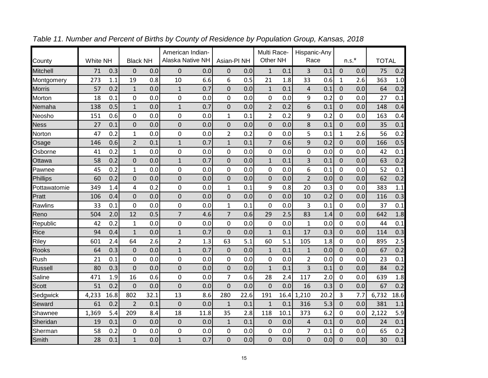|                 |          |      |                 |      | American Indian-        |      |                |      | Multi Race-    |      | Hispanic-Any   |      |                |          |              |      |
|-----------------|----------|------|-----------------|------|-------------------------|------|----------------|------|----------------|------|----------------|------|----------------|----------|--------------|------|
| County          | White NH |      | <b>Black NH</b> |      | <b>Alaska Native NH</b> |      | Asian-PI NH    |      | Other NH       |      | Race           |      |                | $n.s.$ * | <b>TOTAL</b> |      |
| <b>Mitchell</b> | 71       | 0.3  | $\Omega$        | 0.0  | 0                       | 0.0  | $\Omega$       | 0.0  | $\mathbf{1}$   | 0.1  | 3              | 0.1  | $\Omega$       | 0.0      | 75           | 0.2  |
| Montgomery      | 273      | 1.1  | 19              | 0.8  | 10                      | 6.6  | 6              | 0.5  | 21             | 1.8  | 33             | 0.6  | 1              | 2.6      | 363          | 1.0  |
| <b>Morris</b>   | 57       | 0.2  | $\mathbf 1$     | 0.0  | $1\,$                   | 0.7  | 0              | 0.0  | $\mathbf 1$    | 0.1  | 4              | 0.1  | 0              | 0.0      | 64           | 0.2  |
| Morton          | 18       | 0.1  | $\mathbf 0$     | 0.0  | 0                       | 0.0  | 0              | 0.0  | 0              | 0.0  | 9              | 0.2  | 0              | 0.0      | 27           | 0.1  |
| Nemaha          | 138      | 0.5  | $\mathbf{1}$    | 0.0  | $\mathbf{1}$            | 0.7  | $\mathbf 0$    | 0.0  | $\overline{2}$ | 0.2  | 6              | 0.1  | 0              | 0.0      | 148          | 0.4  |
| Neosho          | 151      | 0.6  | $\mathbf 0$     | 0.0  | 0                       | 0.0  | $\mathbf{1}$   | 0.1  | $\overline{2}$ | 0.2  | 9              | 0.2  | 0              | 0.0      | 163          | 0.4  |
| <b>Ness</b>     | 27       | 0.1  | 0               | 0.0  | 0                       | 0.0  | 0              | 0.0  | 0              | 0.0  | 8              | 0.1  | 0              | 0.0      | 35           | 0.1  |
| Norton          | 47       | 0.2  | $\mathbf{1}$    | 0.0  | 0                       | 0.0  | $\overline{2}$ | 0.2  | 0              | 0.0  | 5              | 0.1  | $\mathbf{1}$   | 2.6      | 56           | 0.2  |
| Osage           | 146      | 0.6  | $\overline{2}$  | 0.1  | $\overline{1}$          | 0.7  | $\mathbf{1}$   | 0.1  | $\overline{7}$ | 0.6  | 9              | 0.2  | 0              | 0.0      | 166          | 0.5  |
| Osborne         | 41       | 0.2  | $\mathbf{1}$    | 0.0  | 0                       | 0.0  | 0              | 0.0  | 0              | 0.0  | 0              | 0.0  | 0              | 0.0      | 42           | 0.1  |
| Ottawa          | 58       | 0.2  | 0               | 0.0  | $\overline{1}$          | 0.7  | 0              | 0.0  | $\mathbf{1}$   | 0.1  | 3              | 0.1  | 0              | 0.0      | 63           | 0.2  |
| Pawnee          | 45       | 0.2  | $\mathbf{1}$    | 0.0  | 0                       | 0.0  | 0              | 0.0  | 0              | 0.0  | 6              | 0.1  | 0              | 0.0      | 52           | 0.1  |
| Phillips        | 60       | 0.2  | $\mathbf 0$     | 0.0  | $\overline{0}$          | 0.0  | $\mathbf 0$    | 0.0  | $\mathbf 0$    | 0.0  | $\overline{2}$ | 0.0  | $\overline{0}$ | 0.0      | 62           | 0.2  |
| Pottawatomie    | 349      | 1.4  | 4               | 0.2  | 0                       | 0.0  | $\mathbf{1}$   | 0.1  | 9              | 0.8  | 20             | 0.3  | 0              | 0.0      | 383          | 1.1  |
| Pratt           | 106      | 0.4  | $\overline{0}$  | 0.0  | $\overline{0}$          | 0.0  | $\mathbf 0$    | 0.0  | $\mathbf 0$    | 0.0  | 10             | 0.2  | $\overline{0}$ | 0.0      | 116          | 0.3  |
| Rawlins         | 33       | 0.1  | $\overline{0}$  | 0.0  | 0                       | 0.0  | $\mathbf 1$    | 0.1  | $\mathbf 0$    | 0.0  | 3              | 0.1  | 0              | 0.0      | 37           | 0.1  |
| Reno            | 504      | 2.0  | 12              | 0.5  | $\overline{7}$          | 4.6  | $\overline{7}$ | 0.6  | 29             | 2.5  | 83             | 1.4  | 0              | 0.0      | 642          | 1.8  |
| Republic        | 42       | 0.2  | $\mathbf{1}$    | 0.0  | 0                       | 0.0  | 0              | 0.0  | $\mathbf 0$    | 0.0  | $\mathbf{1}$   | 0.0  | 0              | 0.0      | 44           | 0.1  |
| Rice            | 94       | 0.4  | $\overline{1}$  | 0.0  | $\overline{1}$          | 0.7  | $\overline{0}$ | 0.0  | $\mathbf{1}$   | 0.1  | 17             | 0.3  | 0              | 0.0      | 114          | 0.3  |
| Riley           | 601      | 2.4  | 64              | 2.6  | $\overline{2}$          | 1.3  | 63             | 5.1  | 60             | 5.1  | 105            | 1.8  | 0              | 0.0      | 895          | 2.5  |
| Rooks           | 64       | 0.3  | $\mathbf 0$     | 0.0  | $\mathbf 1$             | 0.7  | $\mathbf 0$    | 0.0  | $\mathbf 1$    | 0.1  | $\mathbf 1$    | 0.0  | 0              | 0.0      | 67           | 0.2  |
| Rush            | 21       | 0.1  | 0               | 0.0  | 0                       | 0.0  | 0              | 0.0  | 0              | 0.0  | $\overline{2}$ | 0.0  | 0              | 0.0      | 23           | 0.1  |
| <b>Russell</b>  | 80       | 0.3  | $\overline{0}$  | 0.0  | $\overline{0}$          | 0.0  | $\mathbf 0$    | 0.0  | $\mathbf{1}$   | 0.1  | 3              | 0.1  | 0              | 0.0      | 84           | 0.2  |
| Saline          | 471      | 1.9  | 16              | 0.6  | 0                       | 0.0  | $\overline{7}$ | 0.6  | 28             | 2.4  | 117            | 2.0  | 0              | 0.0      | 639          | 1.8  |
| Scott           | 51       | 0.2  | $\mathbf 0$     | 0.0  | $\mathbf 0$             | 0.0  | $\overline{0}$ | 0.0  | $\overline{0}$ | 0.0  | 16             | 0.3  | 0              | 0.0      | 67           | 0.2  |
| Sedgwick        | 4,233    | 16.8 | 802             | 32.1 | 13                      | 8.6  | 280            | 22.6 | 191            | 16.4 | 1,210          | 20.2 | 3              | 7.7      | 6,732        | 18.6 |
| Seward          | 61       | 0.2  | $\overline{2}$  | 0.1  | $\overline{0}$          | 0.0  | $\mathbf{1}$   | 0.1  | $\mathbf{1}$   | 0.1  | 316            | 5.3  | 0              | 0.0      | 381          | 1.1  |
| Shawnee         | 1,369    | 5.4  | 209             | 8.4  | 18                      | 11.8 | 35             | 2.8  | 118            | 10.1 | 373            | 6.2  | 0              | 0.0      | 2,122        | 5.9  |
| Sheridan        | 19       | 0.1  | $\mathbf 0$     | 0.0  | $\mathbf 0$             | 0.0  | $\mathbf 1$    | 0.1  | 0              | 0.0  | 4              | 0.1  | $\Omega$       | 0.0      | 24           | 0.1  |
| Sherman         | 58       | 0.2  | 0               | 0.0  | 0                       | 0.0  | 0              | 0.0  | 0              | 0.0  | 7              | 0.1  | 0              | 0.0      | 65           | 0.2  |
| Smith           | 28       | 0.1  | $\overline{1}$  | 0.0  | $\overline{1}$          | 0.7  | $\mathbf 0$    | 0.0  | $\overline{0}$ | 0.0  | $\mathbf 0$    | 0.0  | 0              | 0.0      | 30           | 0.1  |

*Table 11. Number and Percent of Births by County of Residence by Population Group, Kansas, 2018*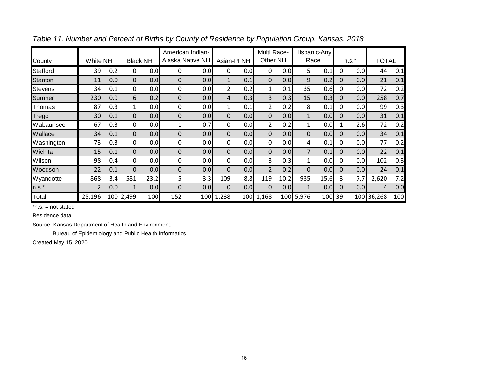| County          | White NH |     | <b>Black NH</b> |      | American Indian-<br>Alaska Native NH |     | Asian-PI <sub>NH</sub> |     | Multi Race-<br>Other NH |      | Hispanic-Any<br>Race |        |          | $n.s.*$ | <b>TOTAL</b> |     |
|-----------------|----------|-----|-----------------|------|--------------------------------------|-----|------------------------|-----|-------------------------|------|----------------------|--------|----------|---------|--------------|-----|
| <b>Stafford</b> | 39       | 0.2 | 0               | 0.0  | 0                                    | 0.0 | 0                      | 0.0 | 0                       | 0.0  | 5                    | 0.1    | 0        | 0.0     | 44           | 0.1 |
| <b>Stanton</b>  | 11       | 0.0 | $\Omega$        | 0.0  | $\Omega$                             | 0.0 | 1                      | 0.1 | 0                       | 0.0  | 9                    | 0.2    | $\Omega$ | 0.0     | 21           | 0.1 |
| <b>Stevens</b>  | 34       | 0.1 | $\mathbf{0}$    | 0.0  | $\Omega$                             | 0.0 | 2                      | 0.2 | $\mathbf{1}$            | 0.1  | 35                   | 0.6    | 0        | 0.0     | 72           | 0.2 |
| Sumner          | 230      | 0.9 | 6               | 0.2  | $\Omega$                             | 0.0 | 4                      | 0.3 | 3                       | 0.3  | 15                   | 0.3    | 0        | 0.0     | 258          | 0.7 |
| Thomas          | 87       | 0.3 | $\mathbf{1}$    | 0.0  | 0                                    | 0.0 | 1                      | 0.1 | $\overline{2}$          | 0.2  | 8                    | 0.1    | 0        | 0.0     | 99           | 0.3 |
| Trego           | 30       | 0.1 | $\Omega$        | 0.0  | $\Omega$                             | 0.0 | $\Omega$               | 0.0 | $\mathbf 0$             | 0.0  | $\mathbf{1}$         | 0.0    | $\Omega$ | 0.0     | 31           | 0.1 |
| Wabaunsee       | 67       | 0.3 | 0               | 0.0  | 1                                    | 0.7 | 0                      | 0.0 | $\overline{2}$          | 0.2  | $\mathbf{1}$         | 0.0    |          | 2.6     | 72           | 0.2 |
| Wallace         | 34       | 0.1 | 0               | 0.0  | $\mathbf 0$                          | 0.0 | 0                      | 0.0 | $\mathbf 0$             | 0.0  | $\mathbf 0$          | 0.0    | $\Omega$ | 0.0     | 34           | 0.1 |
| Washington      | 73       | 0.3 | $\mathbf{0}$    | 0.0  | $\Omega$                             | 0.0 | $\mathbf{0}$           | 0.0 | $\mathbf{0}$            | 0.0  | 4                    | 0.1    | 0        | 0.0     | 77           | 0.2 |
| Wichita         | 15       | 0.1 | $\Omega$        | 0.0  | $\Omega$                             | 0.0 | $\Omega$               | 0.0 | $\mathbf{0}$            | 0.0  | $\overline{7}$       | 0.1    | $\Omega$ | 0.0     | 22           | 0.1 |
| Wilson          | 98       | 0.4 | $\mathbf{0}$    | 0.0  | 0                                    | 0.0 | 0                      | 0.0 | 3                       | 0.3  | 1                    | 0.0    | 0        | 0.0     | 102          | 0.3 |
| Woodson         | 22       | 0.1 | $\Omega$        | 0.0  | $\mathbf 0$                          | 0.0 | $\Omega$               | 0.0 | $\overline{2}$          | 0.2  | 0                    | 0.0    | $\Omega$ | 0.0     | 24           | 0.1 |
| Wyandotte       | 868      | 3.4 | 581             | 23.2 | 5                                    | 3.3 | 109                    | 8.8 | 119                     | 10.2 | 935                  | 15.6   | 3        | 7.7     | 2,620        | 7.2 |
| $n.s.*$         | 2        | 0.0 | 1               | 0.0  | $\Omega$                             | 0.0 | $\Omega$               | 0.0 | $\Omega$                | 0.0  |                      | 0.0    | 0        | 0.0     | 4            | 0.0 |
| Total           | 25,196   |     | 100 2,499       | 100  | 152                                  | 100 | 1,238                  | 100 | 1,168                   | 100  | 5,976                | 100 39 |          | 100     | 36,268       | 100 |

*Table 11. Number and Percent of Births by County of Residence by Population Group, Kansas, 2018*

Residence data

Source: Kansas Department of Health and Environment,

Bureau of Epidemiology and Public Health Informatics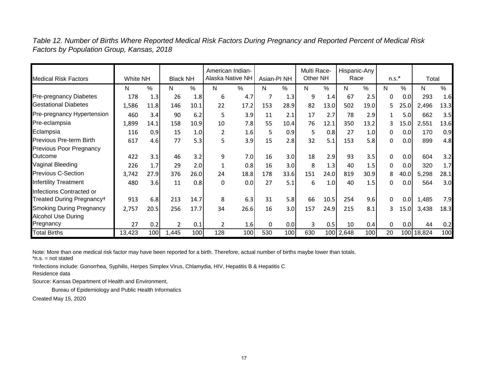*Table 12. Number of Births Where Reported Medical Risk Factors During Pregnancy and Reported Percent of Medical Risk Factors by Population Group, Kansas, 2018*

| <b>Medical Risk Factors</b>                           | White NH |      | <b>Black NH</b> |      | American Indian-<br>Alaska Native NH |      | Asian-PI <sub>NH</sub> |      | Multi Race-<br>Other NH |      | Hispanic-Any<br>Race |      | $n.s.*$      |      | Total  |      |
|-------------------------------------------------------|----------|------|-----------------|------|--------------------------------------|------|------------------------|------|-------------------------|------|----------------------|------|--------------|------|--------|------|
|                                                       | N        | $\%$ | N               | %    | N                                    | $\%$ | N.                     | %    | N                       | %    | N                    | %    | N            | %    | N      | $\%$ |
| Pre-pregnancy Diabetes                                | 178      | 1.3  | 26              | 1.8  | 6                                    | 4.7  | 7                      | 1.3  | 9                       | 1.4  | 67                   | 2.5  | 0            | 0.0  | 293    | 1.6  |
| <b>Gestational Diabetes</b>                           | 1,586    | 11.8 | 146             | 10.1 | 22                                   | 17.2 | 153                    | 28.9 | 82                      | 13.0 | 502                  | 19.0 | 5.           | 25.0 | 2,496  | 13.3 |
| Pre-pregnancy Hypertension                            | 460      | 3.4  | 90              | 6.2  | 5                                    | 3.9  | 11                     | 2.1  | 17                      | 2.7  | 78                   | 2.9  |              | 5.0  | 662    | 3.5  |
| Pre-eclampsia                                         | 1,899    | 14.1 | 158             | 10.9 | 10                                   | 7.8  | 55                     | 10.4 | 76                      | 12.1 | 350                  | 13.2 |              | 15.0 | 2,551  | 13.6 |
| Eclampsia                                             | 116      | 0.9  | 15              | 1.0  | 2                                    | 1.6  | 5                      | 0.9  | 5                       | 0.8  | 27                   | 1.0  | 0            | 0.0  | 170    | 0.9  |
| <b>Previous Pre-term Birth</b>                        | 617      | 4.6  | 77              | 5.3  | 5                                    | 3.9  | 15                     | 2.8  | 32                      | 5.1  | 153                  | 5.8  | $\Omega$     | 0.0  | 899    | 4.8  |
| Previous Poor Pregnancy                               |          |      |                 |      |                                      |      |                        |      |                         |      |                      |      |              |      |        |      |
| Outcome                                               | 422      | 3.1  | 46              | 3.2  | 9                                    | 7.0  | 16                     | 3.0  | 18                      | 2.9  | 93                   | 3.5  | 0            | 0.0  | 604    | 3.2  |
| Vaginal Bleeding                                      | 226      | 1.7  | 29              | 2.0  |                                      | 0.8  | 16                     | 3.0  | 8                       | 1.3  | 40                   | 1.5  | 0            | 0.0  | 320    | 1.7  |
| Previous C-Section                                    | 3,742    | 27.9 | 376             | 26.0 | 24                                   | 18.8 | 178                    | 33.6 | 151                     | 24.0 | 819                  | 30.9 | 8            | 40.0 | 5,298  | 28.1 |
| <b>Infertility Treatment</b>                          | 480      | 3.6  | 11              | 0.8  | $\Omega$                             | 0.0  | 27                     | 5.1  | 6                       | 1.0  | 40                   | 1.5  | $\Omega$     | 0.0  | 564    | 3.0  |
| Infections Contracted or                              |          |      |                 |      |                                      |      |                        |      |                         |      |                      |      |              |      |        |      |
| Treated During Pregnancy+                             | 913      | 6.8  | 213             | 14.7 | 8                                    | 6.3  | 31                     | 5.8  | 66                      | 10.5 | 254                  | 9.6  | $\mathbf{0}$ | 0.0  | 1,485  | 7.9  |
| Smoking During Pregnancy<br><b>Alcohol Use During</b> | 2,757    | 20.5 | 256             | 17.7 | 34                                   | 26.6 | 16                     | 3.0  | 157                     | 24.9 | 215                  | 8.1  | ٩            | 15.0 | 3,438  | 18.3 |
| Pregnancy                                             | 27       | 0.2  | $\overline{2}$  | 0.1  | 2                                    | 1.6  | 0                      | 0.0  | 3                       | 0.5  | 10                   | 0.4  | 0            | 0.0  | 44     | 0.2  |
| <b>Total Births</b>                                   | 13,423   | 100  | 1,445           | 100  | 128                                  | 100  | 530                    | 100  | 630                     | 100  | 2,648                | 100  | 20           | 100  | 18,824 | 100  |

Note: More than one medical risk factor may have been reported for a birth. Therefore, actual number of births maybe lower than totals. \*n.s. = not stated

†Infections include: Gonorrhea, Syphilis, Herpes Simplex Virus, Chlamydia, HIV, Hepatitis B & Hepatitis C

Residence data

Source: Kansas Department of Health and Environment,

Bureau of Epidemiology and Public Health Informatics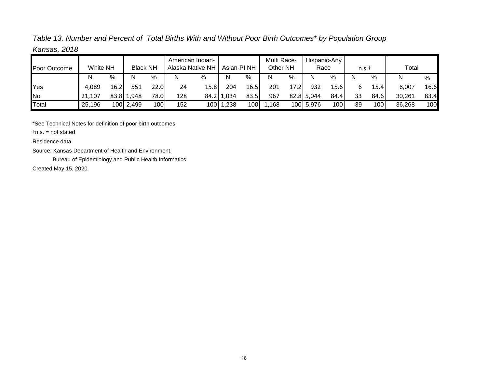*Table 13. Number and Percent of Total Births With and Without Poor Birth Outcomes\* by Population Group Kansas, 2018*

| Poor Outcome | <b>White NH</b> |       | <b>Black NH</b> |                  |     | American Indian-<br>Alaska Native NH | Asian-PI NH |      | Multi Race-<br>Other NH |      | Hispanic-Any<br>Race |      | n.s.1 |      | Total  |                  |
|--------------|-----------------|-------|-----------------|------------------|-----|--------------------------------------|-------------|------|-------------------------|------|----------------------|------|-------|------|--------|------------------|
|              | N               | %     | N               | %                | N   | %                                    | N           | %    | N                       | %    | N                    | $\%$ |       | %    | N      | %                |
| Yes          | 4,089           | 16.2' |                 | 22.0             | 24  | 15.8                                 | 204         | 16.5 | 201                     | 17.2 | 932                  | 15.6 | b     | 15.4 | 6,007  | 16.6             |
| No           | 21,107          |       | 83.8 1,948      | 78.0             | 128 |                                      | 84.2 1,034  | 83.5 | 967                     |      | 82.8 5,044           | 84.4 | 33    | 84.6 | 30,261 | 83.4             |
| Total        | 25,196          |       | 100 2,499       | 100 <sup> </sup> | 152 | 100                                  | 1,238       | 100  | ,168                    |      | 100 5,976            | 100  | 39    | 100  | 36,268 | 100 <sub>l</sub> |

\*See Technical Notes for definition of poor birth outcomes

†n.s. = not stated

Residence data

Source: Kansas Department of Health and Environment,

Bureau of Epidemiology and Public Health Informatics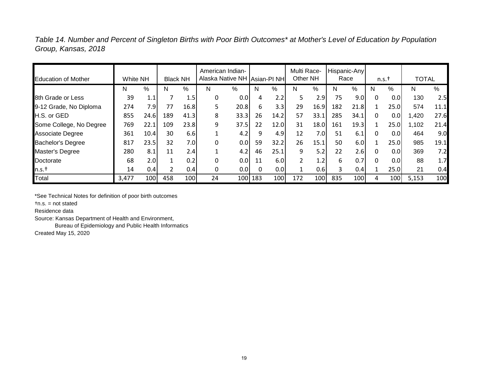*Table 14. Number and Percent of Singleton Births with Poor Birth Outcomes\* at Mother's Level of Education by Population Group, Kansas, 2018*

| <b>Education of Mother</b> | White NH |      | <b>Black NH</b> |      | American Indian-<br>Alaska Native NH Asian-PI NH |      |     |                  | Multi Race-<br>Other NH |                  |     | Hispanic-Any<br>Race |   | n.s.t            | <b>TOTAL</b> |      |
|----------------------------|----------|------|-----------------|------|--------------------------------------------------|------|-----|------------------|-------------------------|------------------|-----|----------------------|---|------------------|--------------|------|
|                            | N        | %    | N               | %    | N                                                | %    | N   | %                | N                       | %                | N   | %                    | N | $\%$             | N            | $\%$ |
| 8th Grade or Less          | 39       | 1.1  |                 | 1.5  | 0                                                | 0.0  |     | 2.2              | 5                       | 2.9              | 75  | 9.0                  | 0 | 0.0              | 130          | 2.5  |
| 9-12 Grade, No Diploma     | 274      | 7.9  | 77              | 16.8 |                                                  | 20.8 | 6   | 3.3              | 29                      | 16.9             | 182 | 21.8                 |   | 25.0             | 574          | 11.1 |
| H.S. or GED                | 855      | 24.6 | 189             | 41.3 | 8                                                | 33.3 | 26  | 14.2             | 57                      | 33.1             | 285 | 34.1                 | 0 | 0.0              | 1,420        | 27.6 |
| Some College, No Degree    | 769      | 22.1 | 109             | 23.8 | 9                                                | 37.5 | 22  | 12.0             | 31                      | 18.0             | 161 | 19.3                 |   | 25.0             | 1,102        | 21.4 |
| Associate Degree           | 361      | 10.4 | 30              | 6.6  |                                                  | 4.2  |     | 4.9              | 12                      | 7.0 <sub>l</sub> | 51  | 6.1                  | 0 | 0.0              | 464          | 9.0  |
| <b>Bachelor's Degree</b>   | 817      | 23.5 | 32              | 7.01 |                                                  | 0.0  | 59  | 32.2             | 26                      | 15.1             | 50  | 6.0                  |   | 25.0             | 985          | 19.1 |
| Master's Degree            | 280      | 8.1  | 11              | 2.4  |                                                  | 4.2  | 46  | 25.1             | 9                       | 5.2              | 22  | 2.6                  |   | 0.0              | 369          | 7.2  |
| Doctorate                  | 68       | 2.0  |                 | 0.2  | O                                                | 0.0  | 11  | 6.0              | $\overline{2}$          | 1.2              | 6   | 0.7                  | O | 0.0 <sub>l</sub> | 88           | 1.7  |
| n.s.t                      | 14       | 0.4  |                 | 0.4  | 0                                                | 0.0  |     | 0.0 <sub>l</sub> | $\mathbf{1}$            | 0.6              |     | 0.4                  |   | 25.0             | 21           | 0.4  |
| Total                      | 3,477    | 100  | 458             | 100  | 24                                               | 100  | 183 | 100              | 172                     | 100              | 835 | 100                  | 4 | 100              | 5,153        | 100  |

\*See Technical Notes for definition of poor birth outcomes

†n.s. = not stated

Residence data

Source: Kansas Department of Health and Environment,

Bureau of Epidemiology and Public Health Informatics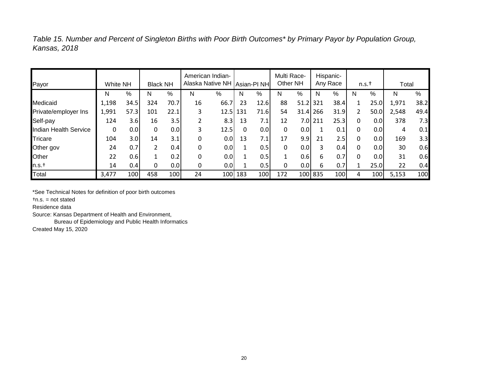*Table 15. Number and Percent of Singleton Births with Poor Birth Outcomes\* by Primary Payor by Population Group, Kansas, 2018*

| Payor                 | <b>White NH</b> |                  | <b>Black NH</b> |      |    | American Indian-<br>Alaska Native NH   Asian-PI NH |     |      | Multi Race-<br>Other NH |                  |         | Hispanic-<br>Any Race |   | n.s.t            | Total |      |
|-----------------------|-----------------|------------------|-----------------|------|----|----------------------------------------------------|-----|------|-------------------------|------------------|---------|-----------------------|---|------------------|-------|------|
|                       |                 |                  |                 |      |    |                                                    |     |      |                         |                  |         |                       |   |                  |       |      |
|                       | N               | %                | N               | %    | N  | %                                                  | N   | %    | N                       | %                | N       | %                     | N | %                | N     | %    |
| Medicaid              | 1,198           | 34.5             | 324             | 70.7 | 16 | 66.7                                               | 23  | 12.6 | 88                      | $51.2$ 321       |         | 38.4                  |   | 25.0             | 1,971 | 38.2 |
| Private/employer Ins  | 1,991           | 57.3             | 101             | 22.1 | 3  | 12.5                                               | 131 | 71.6 | 54                      | $31.4$ 266       |         | 31.9                  |   | 50.0             | 2,548 | 49.4 |
| Self-pay              | 124             | 3.6              | 16              | 3.5  |    | 8.3                                                | 13  | 7.1  | 12                      | 7.0 <sub>l</sub> | 211     | 25.3                  | 0 | 0.0 <sub>l</sub> | 378   | 7.3  |
| Indian Health Service | 0               | 0.0              | 0               | 0.0  | 3  | 12.5                                               | 0   | 0.0  | 0                       | 0.0              |         | 0.1                   | 0 | 0.0              | 4     | 0.1  |
| Tricare               | 104             | 3.0 <sub>l</sub> | 14              | 3.1  | 0  | 0.0                                                | 13  | 7.1  | 17                      | 9.9              | 21      | 2.5                   | 0 | 0.0 <sub>l</sub> | 169   | 3.3  |
| Other gov             | 24              | 0.7              |                 | 0.4  | 0  | 0.0                                                |     | 0.5  | 0                       | 0.0 <sub>l</sub> | 3       | 0.4                   | 0 | 0.0 <sub>l</sub> | 30    | 0.6  |
| Other                 | 22              | 0.6              |                 | 0.2  | 0  | 0.0                                                |     | 0.5  |                         | 0.6              | 6       | 0.7                   |   | 0.0              | 31    | 0.6  |
| n.s.t                 | 14              | 0.4              |                 | 0.0  | 0  | 0.0                                                |     | 0.5  | 0                       | 0.0 <sub>l</sub> | 6       | 0.7                   |   | 25.0             | 22    | 0.4  |
| Total                 | 3,477           | 100              | 458             | 100  | 24 | 100                                                | 183 | 100  | 172                     |                  | 100 835 | 100                   | 4 | 100              | 5,153 | 100  |

\*See Technical Notes for definition of poor birth outcomes

†n.s. = not stated

Residence data

Source: Kansas Department of Health and Environment,

Bureau of Epidemiology and Public Health Informatics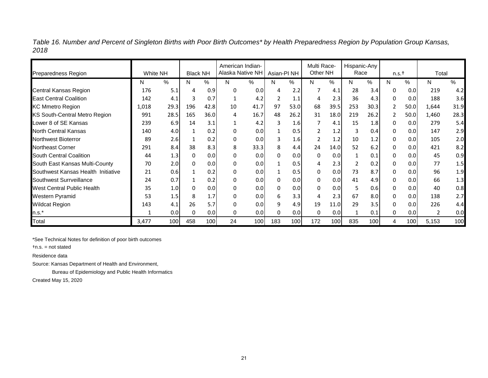*Table 16. Number and Percent of Singleton Births with Poor Birth Outcomes\* by Health Preparedness Region by Population Group Kansas, 2018*

|                                      |          |      |                 |      | American Indian- |      |                        |      | Multi Race- |      | Hispanic-Any |      |              |      |       |      |
|--------------------------------------|----------|------|-----------------|------|------------------|------|------------------------|------|-------------|------|--------------|------|--------------|------|-------|------|
| <b>Preparedness Region</b>           | White NH |      | <b>Black NH</b> |      | Alaska Native NH |      | Asian-PI <sub>NH</sub> |      | Other NH    |      | Race         |      | n.s.t        |      | Total |      |
|                                      | N        | %    | N               | %    | N                | %    | N                      | %    | N           | %    | N            | %    | N            | %    | N     | %    |
| Central Kansas Region                | 176      | 5.1  | 4               | 0.9  | 0                | 0.0  | 4                      | 2.2  | 7           | 4.1  | 28           | 3.4  | 0            | 0.0  | 219   | 4.2  |
| <b>East Central Coalition</b>        | 142      | 4.1  | 3               | 0.7  |                  | 4.2  | 2                      | 1.1  |             | 2.3  | 36           | 4.3  | 0            | 0.0  | 188   | 3.6  |
| <b>KC Mmetro Region</b>              | 1,018    | 29.3 | 196             | 42.8 | 10               | 41.7 | 97                     | 53.0 | 68          | 39.5 | 253          | 30.3 | 2            | 50.0 | 1,644 | 31.9 |
| <b>KS South-Central Metro Region</b> | 991      | 28.5 | 165             | 36.0 | 4                | 16.7 | 48                     | 26.2 | 31          | 18.0 | 219          | 26.2 | 2            | 50.0 | 1,460 | 28.3 |
| Lower 8 of SE Kansas                 | 239      | 6.9  | 14              | 3.1  |                  | 4.2  | 3                      | 1.6  | 7           | 4.1  | 15           | 1.8  | 0            | 0.0  | 279   | 5.4  |
| <b>North Central Kansas</b>          | 140      | 4.0  |                 | 0.2  | 0                | 0.0  |                        | 0.5  |             | 1.2  | 3            | 0.4  | 0            | 0.0  | 147   | 2.9  |
| <b>Northwest Bioterror</b>           | 89       | 2.6  |                 | 0.2  | 0                | 0.0  | 3                      | 1.6  |             | 1.2  | 10           | 1.2  | 0            | 0.0  | 105   | 2.0  |
| <b>Northeast Corner</b>              | 291      | 8.4  | 38              | 8.3  | 8                | 33.3 | 8                      | 4.4  | 24          | 14.0 | 52           | 6.2  | $\Omega$     | 0.0  | 421   | 8.2  |
| South Central Coalition              | 44       | 1.3  | 0               | 0.0  | $\Omega$         | 0.0  | 0                      | 0.0  | 0           | 0.0  |              | 0.1  | $\mathbf{0}$ | 0.0  | 45    | 0.9  |
| South East Kansas Multi-County       | 70       | 2.0  | 0               | 0.0  | 0                | 0.0  | 1                      | 0.5  | 4           | 2.3  | 2            | 0.2  | 0            | 0.0  | 77    | 1.5  |
| Southwest Kansas Health Initiative   | 21       | 0.6  |                 | 0.2  | 0                | 0.0  | 1                      | 0.5  | 0           | 0.0  | 73           | 8.7  | 0            | 0.0  | 96    | 1.9  |
| Southwest Surrveillance              | 24       | 0.7  |                 | 0.2  | 0                | 0.0  | 0                      | 0.0  | 0           | 0.0  | 41           | 4.9  | 0            | 0.0  | 66    | 1.3  |
| <b>West Central Public Health</b>    | 35       | 1.0  | 0               | 0.0  | 0                | 0.0  | 0                      | 0.0  | 0           | 0.0  | 5            | 0.6  | 0            | 0.0  | 40    | 0.8  |
| Western Pyramid                      | 53       | 1.5  | 8               | 1.7  | 0                | 0.0  | 6                      | 3.3  |             | 2.3  | 67           | 8.0  | $\mathbf{0}$ | 0.0  | 138   | 2.7  |
| <b>Wildcat Region</b>                | 143      | 4.1  | 26              | 5.7  | 0                | 0.0  | 9                      | 4.9  | 19          | 11.0 | 29           | 3.5  | 0            | 0.0  | 226   | 4.4  |
| $n.s.*$                              |          | 0.0  | $\Omega$        | 0.0  | 0                | 0.0  | 0                      | 0.0  | $\Omega$    | 0.0  |              | 0.1  | 0            | 0.0  | 2     | 0.0  |
| Total                                | 3,477    | 100  | 458             | 100  | 24               | 100  | 183                    | 100  | 172         | 100  | 835          | 100  | 4            | 100  | 5,153 | 100  |

\*See Technical Notes for definition of poor birth outcomes

†n.s. = not stated

Residence data

Source: Kansas Department of Health and Environment,

Bureau of Epidemiology and Public Health Informatics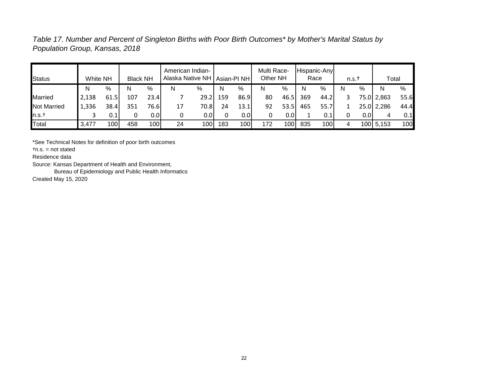*Table 17. Number and Percent of Singleton Births with Poor Birth Outcomes\* by Mother's Marital Status by Population Group, Kansas, 2018*

| <b>Status</b>      | White NH |      | <b>Black NH</b> |      | American Indian-<br>Alaska Native NH |      |     | Asian-PI NH | Multi Race-<br>Other NH |      |     | Hispanic-Any<br>Race | $n.s.$ † |      | Total      |      |
|--------------------|----------|------|-----------------|------|--------------------------------------|------|-----|-------------|-------------------------|------|-----|----------------------|----------|------|------------|------|
|                    | N        | %    | N               | %    | N                                    | %    | N   | %           | N                       | %    | N   | $\%$                 | N        | %    | N          | %    |
| <b>Married</b>     | 2,138    | 61.5 | 107             | 23.4 |                                      | 29.2 | 159 | 86.9        | 80                      | 46.5 | 369 | 44.2                 |          |      | 75.0 2,863 | 55.6 |
| <b>Not Married</b> | 1,336    | 38.4 | 351             | 76.6 | 17                                   | 70.8 | 24  | 13.1        | 92                      | 53.5 | 465 | 55.7                 |          |      | 25.0 2,286 | 44.4 |
| n.s.t              |          | 0.1  | 0               | 0.0  |                                      | 0.01 | 0   | 0.0         | 0                       | 0.0  |     | 0.1                  |          | 0.01 | 4          | 0.1  |
| Total              | 3,477    | 100  | 458             | 100  | 24                                   | 100  | 183 | 100         | 172                     | 100  | 835 | 100                  | 4        |      | 100 5,153  | 100  |

\*See Technical Notes for definition of poor birth outcomes

†n.s. = not stated

Residence data

Source: Kansas Department of Health and Environment,

Bureau of Epidemiology and Public Health Informatics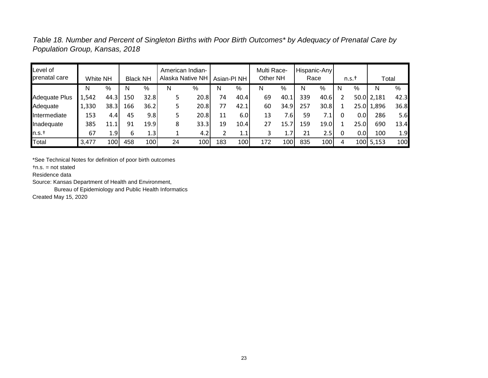*Table 18. Number and Percent of Singleton Births with Poor Birth Outcomes\* by Adequacy of Prenatal Care by Population Group, Kansas, 2018*

| Level of<br>prenatal care | White NH |      |     | <b>Black NH</b> |    | American Indian-<br>Alaska Native NH | Asian-PI <sub>NH</sub> |      | Multi Race-<br>Other NH |      |     | Hispanic-Any<br>Race |   | $n.s.$ †         | Total        |      |
|---------------------------|----------|------|-----|-----------------|----|--------------------------------------|------------------------|------|-------------------------|------|-----|----------------------|---|------------------|--------------|------|
|                           | N        | %    | N   | %               | N  | %                                    | N                      | %    | N                       | %    | N   | %                    | N | %                | N            | %    |
| <b>Adequate Plus</b>      | 1,542    | 44.3 | 150 | 32.8            |    | 20.8                                 | 74                     | 40.4 | 69                      | 40.1 | 339 | 40.6                 |   |                  | $50.0$ 2,181 | 42.3 |
| Adequate                  | 1,330    | 38.3 | 166 | 36.2            |    | 20.8                                 | 77                     | 42.1 | 60                      | 34.9 | 257 | 30.8                 |   |                  | 25.0 1,896   | 36.8 |
| Intermediate              | 153      | 4.4  | 45  | 9.8             |    | 20.8                                 | 11                     | 6.0  | 13                      | 7.6  | 59  | 7.1                  | 0 | 0.0 <sub>1</sub> | 286          | 5.6  |
| Inadequate                | 385      | 11.1 | 91  | 19.9            | 8  | 33.3                                 | 19                     | 10.4 | 27                      | 15.7 | 159 | 19.0                 |   | 25.0             | 690          | 13.4 |
| n.s.t                     | 67       | 1.9  | 6   | 1.3             |    | 4.2                                  |                        | 1.1  |                         | 1.7  | 21  | 2.5                  |   | 0.01             | 100          | 1.9  |
| Total                     | 3,477    | 100  | 458 | 100             | 24 | 100                                  | 183                    | 100  | 172                     | 100  | 835 | 100                  | 4 |                  | 100 5,153    | 100  |

\*See Technical Notes for definition of poor birth outcomes

†n.s. = not stated

Residence data

Source: Kansas Department of Health and Environment,

Bureau of Epidemiology and Public Health Informatics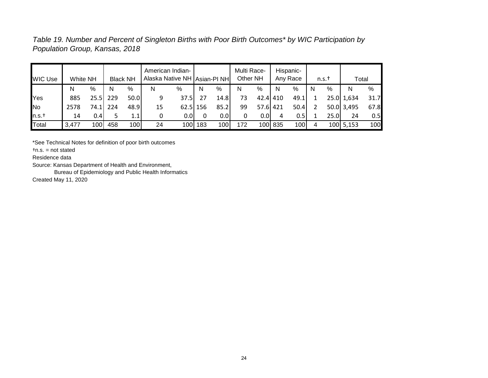*Table 19. Number and Percent of Singleton Births with Poor Birth Outcomes\* by WIC Participation by Population Group, Kansas, 2018*

| <b>WIC Use</b> | White NH |       |     | <b>Black NH</b> |    | American Indian-<br>Alaska Native NH   Asian-PI NH |         |               | Multi Race-<br>Other NH |          |         | Hispanic-<br>Any Race |   | n.s.t |            | Total |
|----------------|----------|-------|-----|-----------------|----|----------------------------------------------------|---------|---------------|-------------------------|----------|---------|-----------------------|---|-------|------------|-------|
|                | Ν        | %     | N   | $\%$            | N  | %                                                  | N       | $\frac{0}{0}$ | N                       | %        | N       | %                     | N | %     | N          | %     |
| Yes            | 885      | 25.5  | 229 | 50.0            | 9  | 37.5I                                              | 27      | 14.8          | 73                      | 42.4 410 |         | 49.1                  |   |       | 25.0 1,634 | 31.7  |
| No             | 2578     | 74.1I | 224 | 48.9            | 15 | $62.5$ 156                                         |         | 85.2          | 99                      | 57.6 421 |         | 50.4                  |   |       | 50.0 3,495 | 67.8  |
| n.s.†          | 14       | 0.4I  |     | 1.1             |    | 0.0I                                               |         | 0.01          | 0                       | 0.01     | 4       | 0.51                  |   | 25.0  | 24         | 0.5   |
| Total          | 3,477    | 100   | 458 | 100             | 24 |                                                    | 100 183 | 100           | 172                     |          | 100 835 | 100                   | 4 |       | 100 5,153  | 100   |

\*See Technical Notes for definition of poor birth outcomes

†n.s. = not stated

Residence data

Source: Kansas Department of Health and Environment,

Bureau of Epidemiology and Public Health Informatics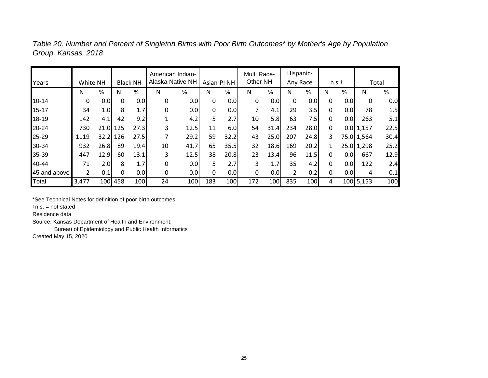| Years        | White NH       |                  |         | <b>Black NH</b> | American Indian-<br>Alaska Native NH |      | Asian-PI <sub>NH</sub> |      | Multi Race-<br>Other NH |      | Hispanic-<br>Any Race |      |   | $n.s.$ † |               | Total |
|--------------|----------------|------------------|---------|-----------------|--------------------------------------|------|------------------------|------|-------------------------|------|-----------------------|------|---|----------|---------------|-------|
|              | N              | %                | N       | %               | N                                    | %    | N                      | %    | N                       | %    | N                     | %    | Ν | %        | Ν             | %     |
| $10 - 14$    | 0              | 0.0              | 0       | 0.0             | 0                                    | 0.0  | 0                      | 0.0  | 0                       | 0.0  | 0                     | 0.0  | 0 | 0.0      | 0             | 0.0   |
| 15-17        | 34             | 1.0              | 8       | 1.7             | $\mathbf 0$                          | 0.0  | 0                      | 0.0  | 7                       | 4.1  | 29                    | 3.5  | 0 | 0.0      | 78            | 1.5   |
| 18-19        | 142            | 4.1              | 42      | 9.2             |                                      | 4.2  | 5                      | 2.7  | 10                      | 5.8  | 63                    | 7.5  | 0 | 0.0      | 263           | 5.1   |
| 20-24        | 730            | 21.0 125         |         | 27.3            | 3                                    | 12.5 | 11                     | 6.0  | 54                      | 31.4 | 234                   | 28.0 | 0 |          | $0.0$   1,157 | 22.5  |
| 25-29        | 1119           | 32.2 126         |         | 27.5            | 7                                    | 29.2 | 59                     | 32.2 | 43                      | 25.0 | 207                   | 24.8 | 3 |          | 75.0 1,564    | 30.4  |
| 30-34        | 932            | 26.8             | 89      | 19.4            | 10                                   | 41.7 | 65                     | 35.5 | 32                      | 18.6 | 169                   | 20.2 |   |          | 25.0 1,298    | 25.2  |
| 35-39        | 447            | 12.9             | 60      | 13.1            | 3                                    | 12.5 | 38                     | 20.8 | 23                      | 13.4 | 96                    | 11.5 | 0 | 0.0      | 667           | 12.9  |
| 40-44        | 71             | 2.0 <sub>l</sub> | 8       | 1.7             | $\mathbf 0$                          | 0.0  | 5.                     | 2.7  | 3                       | 1.7  | 35                    | 4.2  | 0 | 0.0      | 122           | 2.4   |
| 45 and above | $\overline{2}$ | 0.1              | 0       | 0.0             | 0                                    | 0.0  | 0                      | 0.0  | 0                       | 0.0  |                       | 0.2  | 0 | 0.0      | 4             | 0.1   |
| Total        | 3,477          |                  | 100 458 | 100             | 24                                   | 100  | 183                    | 100  | 172                     | 100  | 835                   | 100  | 4 |          | 100 5,153     | 100   |

*Table 20. Number and Percent of Singleton Births with Poor Birth Outcomes\* by Mother's Age by Population Group, Kansas, 2018*

\*See Technical Notes for definition of poor birth outcomes

†n.s. = not stated

Residence data

Source: Kansas Department of Health and Environment,

Bureau of Epidemiology and Public Health Informatics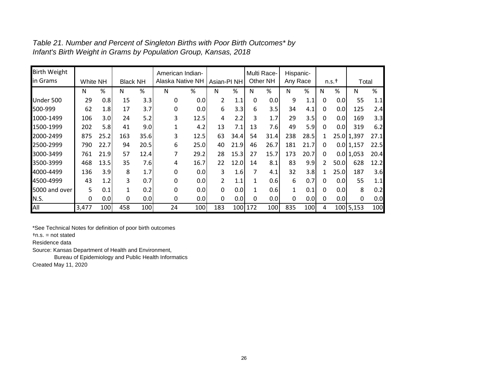| <b>Birth Weight</b> |          |      |                 |      | American Indian- |      |                |      |     | Multi Race- | Hispanic-    |      |                |                  |               |      |
|---------------------|----------|------|-----------------|------|------------------|------|----------------|------|-----|-------------|--------------|------|----------------|------------------|---------------|------|
| in Grams            | White NH |      | <b>Black NH</b> |      | Alaska Native NH |      | Asian-PI NH    |      |     | Other NH    | Any Race     |      |                | $n.s.$ †         | Total         |      |
|                     | N        | %    | N               | %    | N                | %    | N              | %    | N   | %           | N            | %    | N              | %                | N             | %    |
| Under 500           | 29       | 0.8  | 15              | 3.3  | 0                | 0.0  | 2              | 1.1  | 0   | 0.0         | 9            | 1.1  | 0              | 0.0              | 55            | 1.1  |
| 500-999             | 62       | 1.8  | 17              | 3.7  | 0                | 0.0  | 6              | 3.3  | 6   | 3.5         | 34           | 4.1  | 0              | 0.0 <sub>l</sub> | 125           | 2.4  |
| 1000-1499           | 106      | 3.0  | 24              | 5.2  | 3                | 12.5 | 4              | 2.2  | 3   | 1.7         | 29           | 3.5  | 0              | 0.0 <sub>l</sub> | 169           | 3.3  |
| 1500-1999           | 202      | 5.8  | 41              | 9.0  | $\mathbf{1}$     | 4.2  | 13             | 7.1  | 13  | 7.6         | 49           | 5.9  | 0              | 0.0 <sub>l</sub> | 319           | 6.2  |
| 2000-2499           | 875      | 25.2 | 163             | 35.6 | 3                | 12.5 | 63             | 34.4 | 54  | 31.4        | 238          | 28.5 | 1              |                  | 25.0 1,397    | 27.1 |
| 2500-2999           | 790      | 22.7 | 94              | 20.5 | 6                | 25.0 | 40             | 21.9 | 46  | 26.7        | 181          | 21.7 | 0              |                  | $0.0$   1,157 | 22.5 |
| 3000-3499           | 761      | 21.9 | 57              | 12.4 | 7                | 29.2 | 28             | 15.3 | 27  | 15.7        | 173          | 20.7 | 0              |                  | $0.0$ 1,053   | 20.4 |
| 3500-3999           | 468      | 13.5 | 35              | 7.6  | 4                | 16.7 | 22             | 12.0 | 14  | 8.1         | 83           | 9.9  | $\overline{2}$ | 50.0             | 628           | 12.2 |
| 4000-4499           | 136      | 3.9  | 8               | 1.7  | 0                | 0.0  | 3              | 1.6  | 7   | 4.1         | 32           | 3.8  | 1              | 25.0             | 187           | 3.6  |
| 4500-4999           | 43       | 1.2  | 3               | 0.7  | 0                | 0.0  | $\overline{2}$ | 1.1  |     | 0.6         | 6            | 0.7  | 0              | 0.0 <sub>l</sub> | 55            | 1.1  |
| 5000 and over       | 5        | 0.1  | 1               | 0.2  | $\Omega$         | 0.0  | 0              | 0.0  |     | 0.6         | $\mathbf{1}$ | 0.1  | 0              | 0.0              | 8             | 0.2  |
| N.S.                | 0        | 0.0  | 0               | 0.0  | 0                | 0.0  | $\mathbf 0$    | 0.0  | 0   | 0.0         | 0            | 0.0  | $\mathbf{0}$   | 0.0              | 0             | 0.0  |
| All                 | 3,477    | 100  | 458             | 100  | 24               | 100  | 183            | 100  | 172 | 100         | 835          | 100  | 4              |                  | 100 5,153     | 100  |

*Table 21. Number and Percent of Singleton Births with Poor Birth Outcomes\* by Infant's Birth Weight in Grams by Population Group, Kansas, 2018*

\*See Technical Notes for definition of poor birth outcomes

†n.s. = not stated

Residence data

Source: Kansas Department of Health and Environment,

Bureau of Epidemiology and Public Health Informatics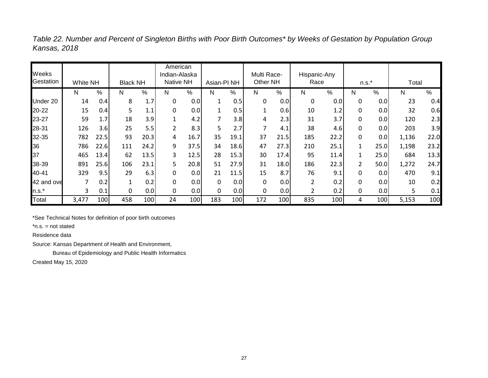| Weeks      |          |      |                      |                  | American<br>Indian-Alaska |      |                        |      | Multi Race-  |      | Hispanic-Any   |      |                |      |       |      |
|------------|----------|------|----------------------|------------------|---------------------------|------|------------------------|------|--------------|------|----------------|------|----------------|------|-------|------|
| Gestation  | White NH |      | <b>Black NH</b>      |                  | Native NH                 |      | Asian-PI <sub>NH</sub> |      | Other NH     |      | Race           |      | $n.s.*$        |      | Total |      |
|            | N        | %    | N                    | %                | N                         | %    | N                      | %    | N            | %    | N              | %    | N              | %    | N     | $\%$ |
| Under 20   | 14       | 0.4  | 8                    | 1.7              | 0                         | 0.0  | 1                      | 0.5  | 0            | 0.0  | 0              | 0.0  | 0              | 0.0  | 23    | 0.4  |
| 20-22      | 15       | 0.4  | 5                    | 1.1              | 0                         | 0.0  | $\mathbf{1}$           | 0.5  | $\mathbf{1}$ | 0.6  | 10             | 1.2  | 0              | 0.0  | 32    | 0.6  |
| 23-27      | 59       | 1.7  | 18                   | 3.9              | 1                         | 4.2  | 7                      | 3.8  | 4            | 2.3  | 31             | 3.7  | 0              | 0.0  | 120   | 2.3  |
| 28-31      | 126      | 3.6  | 25                   | 5.5              | 2                         | 8.3  | 5                      | 2.7  | 7            | 4.1  | 38             | 4.6  | 0              | 0.0  | 203   | 3.9  |
| 32-35      | 782      | 22.5 | 93                   | 20.3             | 4                         | 16.7 | 35                     | 19.1 | 37           | 21.5 | 185            | 22.2 | 0              | 0.0  | 1,136 | 22.0 |
| 36         | 786      | 22.6 | 111                  | 24.2             | 9                         | 37.5 | 34                     | 18.6 | 47           | 27.3 | 210            | 25.1 | 1              | 25.0 | 1,198 | 23.2 |
| 37         | 465      | 13.4 | 62                   | 13.5             | 3                         | 12.5 | 28                     | 15.3 | 30           | 17.4 | 95             | 11.4 | 1              | 25.0 | 684   | 13.3 |
| 38-39      | 891      | 25.6 | 106                  | 23.1             | 5                         | 20.8 | 51                     | 27.9 | 31           | 18.0 | 186            | 22.3 | 2              | 50.0 | 1,272 | 24.7 |
| 40-41      | 329      | 9.5  | 29                   | 6.3              | 0                         | 0.0  | 21                     | 11.5 | 15           | 8.7  | 76             | 9.1  | 0              | 0.0  | 470   | 9.1  |
| 42 and ove |          | 0.2  | $\blacktriangleleft$ | 0.2              | 0                         | 0.0  | 0                      | 0.0  | 0            | 0.0  | $\overline{2}$ | 0.2  | 0              | 0.0  | 10    | 0.2  |
| $n.s.*$    | 3        | 0.1  | 0                    | 0.0              | 0                         | 0.0  | 0                      | 0.0  | 0            | 0.0  | 2              | 0.2  | 0              | 0.0  | 5     | 0.1  |
| Total      | 3,477    | 100  | 458                  | 100 <sub>1</sub> | 24                        | 100  | 183                    | 100  | 172          | 100  | 835            | 100  | $\overline{4}$ | 100  | 5,153 | 100  |

*Table 22. Number and Percent of Singleton Births with Poor Birth Outcomes\* by Weeks of Gestation by Population Group Kansas, 2018*

\*See Technical Notes for definition of poor birth outcomes

\*n.s. = not stated

Residence data

Source: Kansas Department of Health and Environment,

Bureau of Epidemiology and Public Health Informatics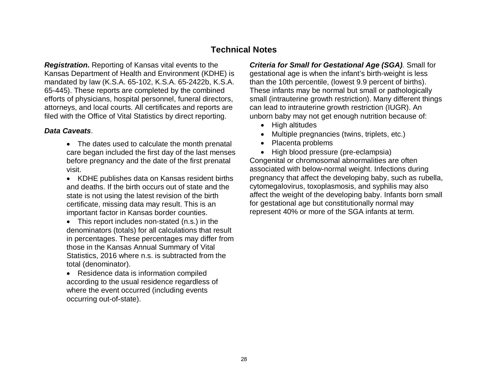# **Technical Notes**

*Registration.* Reporting of Kansas vital events to the Kansas Department of Health and Environment (KDHE) is mandated by law (K.S.A. 65-102, K.S.A. 65-2422b, K.S.A. 65-445). These reports are completed by the combined efforts of physicians, hospital personnel, funeral directors, attorneys, and local courts. All certificates and reports are filed with the Office of Vital Statistics by direct reporting.

#### *Data Caveats*.

- The dates used to calculate the month prenatal care began included the first day of the last menses before pregnancy and the date of the first prenatal visit.
- KDHE publishes data on Kansas resident births and deaths. If the birth occurs out of state and the state is not using the latest revision of the birth certificate, missing data may result. This is an important factor in Kansas border counties.
- This report includes non-stated (n.s.) in the denominators (totals) for all calculations that result in percentages. These percentages may differ from those in the Kansas Annual Summary of Vital Statistics, 2016 where n.s. is subtracted from the total (denominator).
- Residence data is information compiled according to the usual residence regardless of where the event occurred (including events occurring out-of-state).

*Criteria for Small for Gestational Age (SGA).* Small for gestational age is when the infant's birth-weight is less than the 10th percentile, (lowest 9.9 percent of births). These infants may be normal but small or pathologically small (intrauterine growth restriction). Many different things can lead to intrauterine growth restriction (IUGR). An unborn baby may not get enough nutrition because of:

- High altitudes
- Multiple pregnancies (twins, triplets, etc.)
- Placenta problems
- High blood pressure (pre-eclampsia)

Congenital or chromosomal abnormalities are often associated with below-normal weight. Infections during pregnancy that affect the developing baby, such as rubella, cytomegalovirus, toxoplasmosis, and syphilis may also affect the weight of the developing baby. Infants born small for gestational age but constitutionally normal may represent 40% or more of the SGA infants at term.